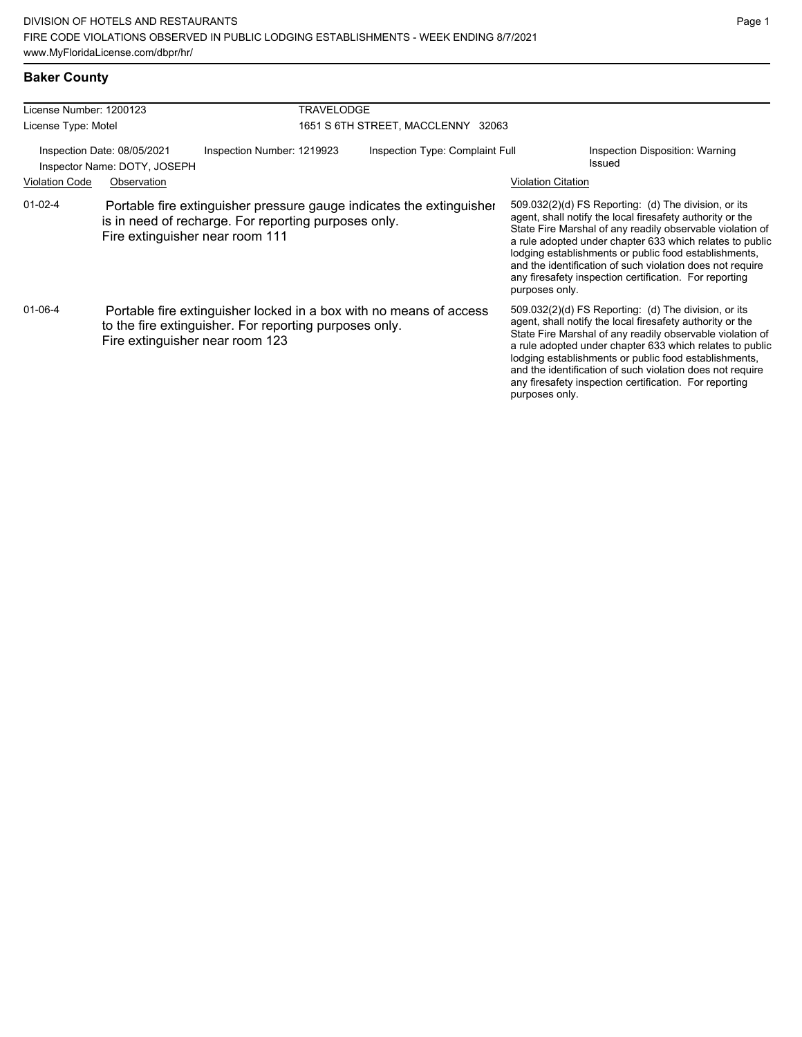#### **Baker County**

| License Number: 1200123                                     |                                                                                                                                                                 |                            | <b>TRAVELODGE</b>                  |                                                                      |                           |                                                                                                                                                                                                                                                                                                                                                                                                                            |  |
|-------------------------------------------------------------|-----------------------------------------------------------------------------------------------------------------------------------------------------------------|----------------------------|------------------------------------|----------------------------------------------------------------------|---------------------------|----------------------------------------------------------------------------------------------------------------------------------------------------------------------------------------------------------------------------------------------------------------------------------------------------------------------------------------------------------------------------------------------------------------------------|--|
| License Type: Motel                                         |                                                                                                                                                                 |                            | 1651 S 6TH STREET, MACCLENNY 32063 |                                                                      |                           |                                                                                                                                                                                                                                                                                                                                                                                                                            |  |
| Inspection Date: 08/05/2021<br>Inspector Name: DOTY, JOSEPH |                                                                                                                                                                 | Inspection Number: 1219923 | Inspection Type: Complaint Full    |                                                                      |                           | Inspection Disposition: Warning<br>Issued                                                                                                                                                                                                                                                                                                                                                                                  |  |
| <b>Violation Code</b>                                       | Observation                                                                                                                                                     |                            |                                    |                                                                      | <b>Violation Citation</b> |                                                                                                                                                                                                                                                                                                                                                                                                                            |  |
| $01-02-4$                                                   | is in need of recharge. For reporting purposes only.<br>Fire extinguisher near room 111                                                                         |                            |                                    | Portable fire extinguisher pressure gauge indicates the extinguisher | purposes only.            | 509.032(2)(d) FS Reporting: (d) The division, or its<br>agent, shall notify the local firesafety authority or the<br>State Fire Marshal of any readily observable violation of<br>a rule adopted under chapter 633 which relates to public<br>lodging establishments or public food establishments,<br>and the identification of such violation does not require<br>any firesafety inspection certification. For reporting |  |
| $01 - 06 - 4$                                               | Portable fire extinguisher locked in a box with no means of access<br>to the fire extinguisher. For reporting purposes only.<br>Fire extinguisher near room 123 |                            |                                    |                                                                      | purposes only.            | 509.032(2)(d) FS Reporting: (d) The division, or its<br>agent, shall notify the local firesafety authority or the<br>State Fire Marshal of any readily observable violation of<br>a rule adopted under chapter 633 which relates to public<br>lodging establishments or public food establishments,<br>and the identification of such violation does not require<br>any firesafety inspection certification. For reporting |  |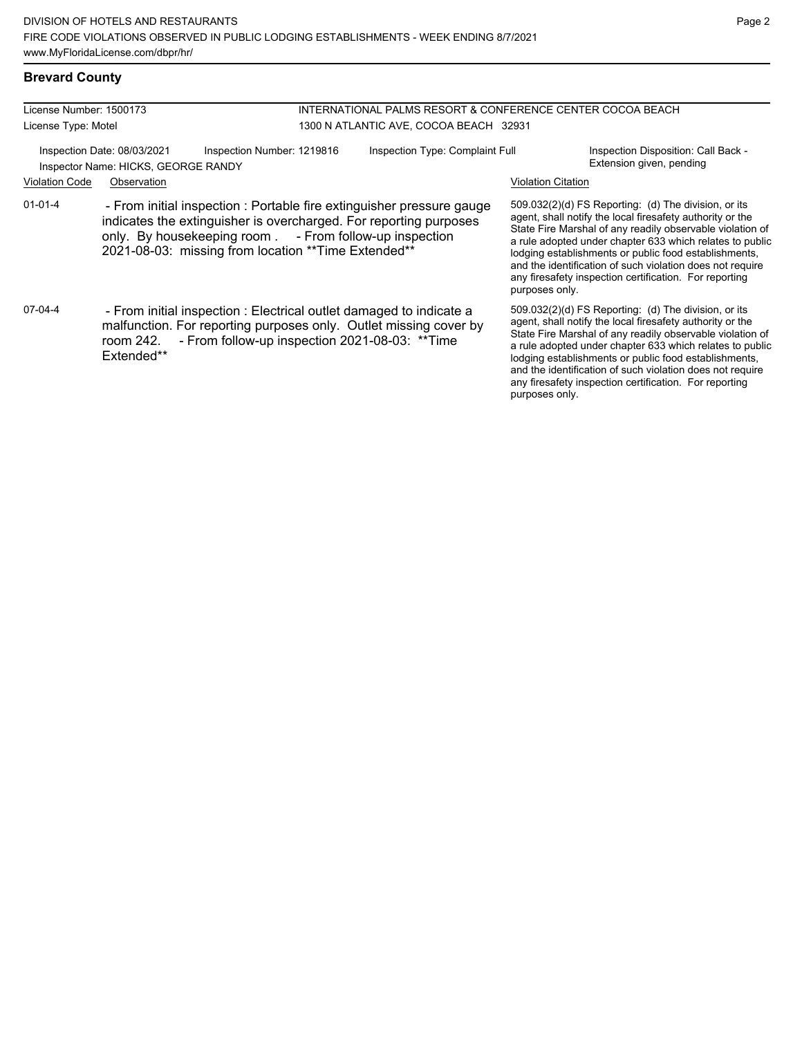#### **Brevard County**

| License Number: 1500173                                                                          |                                                                                                                                                                                                                                                                | INTERNATIONAL PALMS RESORT & CONFERENCE CENTER COCOA BEACH |                                        |                           |                                                                                                                                                                                                                                                                                                                                                                                                                            |
|--------------------------------------------------------------------------------------------------|----------------------------------------------------------------------------------------------------------------------------------------------------------------------------------------------------------------------------------------------------------------|------------------------------------------------------------|----------------------------------------|---------------------------|----------------------------------------------------------------------------------------------------------------------------------------------------------------------------------------------------------------------------------------------------------------------------------------------------------------------------------------------------------------------------------------------------------------------------|
| License Type: Motel                                                                              |                                                                                                                                                                                                                                                                |                                                            | 1300 N ATLANTIC AVE, COCOA BEACH 32931 |                           |                                                                                                                                                                                                                                                                                                                                                                                                                            |
| Inspection Date: 08/03/2021<br>Inspection Number: 1219816<br>Inspector Name: HICKS, GEORGE RANDY |                                                                                                                                                                                                                                                                |                                                            | Inspection Type: Complaint Full        |                           | Inspection Disposition: Call Back -<br>Extension given, pending                                                                                                                                                                                                                                                                                                                                                            |
| <b>Violation Code</b>                                                                            | Observation                                                                                                                                                                                                                                                    |                                                            |                                        | <b>Violation Citation</b> |                                                                                                                                                                                                                                                                                                                                                                                                                            |
| $01 - 01 - 4$                                                                                    | - From initial inspection : Portable fire extinguisher pressure gauge<br>indicates the extinguisher is overcharged. For reporting purposes<br>only. By housekeeping room . - From follow-up inspection<br>2021-08-03: missing from location ** Time Extended** |                                                            |                                        | purposes only.            | 509.032(2)(d) FS Reporting: (d) The division, or its<br>agent, shall notify the local firesafety authority or the<br>State Fire Marshal of any readily observable violation of<br>a rule adopted under chapter 633 which relates to public<br>lodging establishments or public food establishments,<br>and the identification of such violation does not require<br>any firesafety inspection certification. For reporting |
| 07-04-4                                                                                          | - From initial inspection : Electrical outlet damaged to indicate a<br>malfunction. For reporting purposes only. Outlet missing cover by<br>room 242. - From follow-up inspection 2021-08-03: ** Time<br>Extended**                                            |                                                            |                                        | purposes only.            | 509.032(2)(d) FS Reporting: (d) The division, or its<br>agent, shall notify the local firesafety authority or the<br>State Fire Marshal of any readily observable violation of<br>a rule adopted under chapter 633 which relates to public<br>lodging establishments or public food establishments,<br>and the identification of such violation does not require<br>any firesafety inspection certification. For reporting |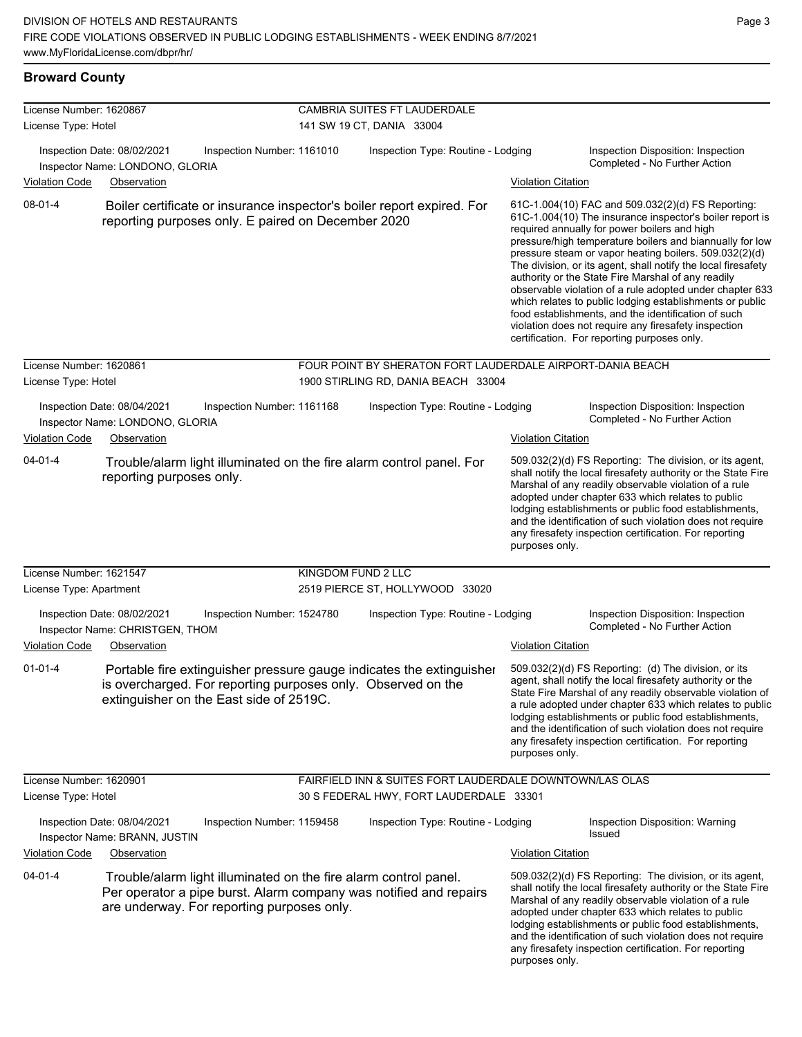**Broward County**

| License Number: 1620867                        |                                                                                                                |                            |                    | <b>CAMBRIA SUITES FT LAUDERDALE</b>                                                               |                           |                                                                                                                                                                                                                                                                                                                                                                                                                                                                                                                                                                                                                                                                                                  |
|------------------------------------------------|----------------------------------------------------------------------------------------------------------------|----------------------------|--------------------|---------------------------------------------------------------------------------------------------|---------------------------|--------------------------------------------------------------------------------------------------------------------------------------------------------------------------------------------------------------------------------------------------------------------------------------------------------------------------------------------------------------------------------------------------------------------------------------------------------------------------------------------------------------------------------------------------------------------------------------------------------------------------------------------------------------------------------------------------|
| License Type: Hotel                            |                                                                                                                |                            |                    | 141 SW 19 CT, DANIA 33004                                                                         |                           |                                                                                                                                                                                                                                                                                                                                                                                                                                                                                                                                                                                                                                                                                                  |
|                                                | Inspection Date: 08/02/2021<br>Inspector Name: LONDONO, GLORIA                                                 | Inspection Number: 1161010 |                    | Inspection Type: Routine - Lodging                                                                |                           | Inspection Disposition: Inspection<br>Completed - No Further Action                                                                                                                                                                                                                                                                                                                                                                                                                                                                                                                                                                                                                              |
| <b>Violation Code</b>                          | Observation                                                                                                    |                            |                    |                                                                                                   | <b>Violation Citation</b> |                                                                                                                                                                                                                                                                                                                                                                                                                                                                                                                                                                                                                                                                                                  |
| 08-01-4                                        | reporting purposes only. E paired on December 2020                                                             |                            |                    | Boiler certificate or insurance inspector's boiler report expired. For                            |                           | 61C-1.004(10) FAC and 509.032(2)(d) FS Reporting:<br>61C-1.004(10) The insurance inspector's boiler report is<br>required annually for power boilers and high<br>pressure/high temperature boilers and biannually for low<br>pressure steam or vapor heating boilers. 509.032(2)(d)<br>The division, or its agent, shall notify the local firesafety<br>authority or the State Fire Marshal of any readily<br>observable violation of a rule adopted under chapter 633<br>which relates to public lodging establishments or public<br>food establishments, and the identification of such<br>violation does not require any firesafety inspection<br>certification. For reporting purposes only. |
| License Number: 1620861<br>License Type: Hotel |                                                                                                                |                            |                    | FOUR POINT BY SHERATON FORT LAUDERDALE AIRPORT-DANIA BEACH<br>1900 STIRLING RD, DANIA BEACH 33004 |                           |                                                                                                                                                                                                                                                                                                                                                                                                                                                                                                                                                                                                                                                                                                  |
|                                                |                                                                                                                |                            |                    |                                                                                                   |                           |                                                                                                                                                                                                                                                                                                                                                                                                                                                                                                                                                                                                                                                                                                  |
| <b>Violation Code</b>                          | Inspection Date: 08/04/2021<br>Inspector Name: LONDONO, GLORIA<br>Observation                                  | Inspection Number: 1161168 |                    | Inspection Type: Routine - Lodging                                                                | Violation Citation        | Inspection Disposition: Inspection<br>Completed - No Further Action                                                                                                                                                                                                                                                                                                                                                                                                                                                                                                                                                                                                                              |
| $04 - 01 - 4$                                  | reporting purposes only.                                                                                       |                            |                    | Trouble/alarm light illuminated on the fire alarm control panel. For                              | purposes only.            | 509.032(2)(d) FS Reporting: The division, or its agent,<br>shall notify the local firesafety authority or the State Fire<br>Marshal of any readily observable violation of a rule<br>adopted under chapter 633 which relates to public<br>lodging establishments or public food establishments,<br>and the identification of such violation does not require<br>any firesafety inspection certification. For reporting                                                                                                                                                                                                                                                                           |
| License Number: 1621547                        |                                                                                                                |                            | KINGDOM FUND 2 LLC |                                                                                                   |                           |                                                                                                                                                                                                                                                                                                                                                                                                                                                                                                                                                                                                                                                                                                  |
| License Type: Apartment                        |                                                                                                                |                            |                    | 2519 PIERCE ST, HOLLYWOOD 33020                                                                   |                           |                                                                                                                                                                                                                                                                                                                                                                                                                                                                                                                                                                                                                                                                                                  |
| <b>Violation Code</b>                          | Inspection Date: 08/02/2021<br>Inspector Name: CHRISTGEN, THOM<br>Observation                                  | Inspection Number: 1524780 |                    | Inspection Type: Routine - Lodging                                                                | <b>Violation Citation</b> | Inspection Disposition: Inspection<br>Completed - No Further Action                                                                                                                                                                                                                                                                                                                                                                                                                                                                                                                                                                                                                              |
| $01 - 01 - 4$                                  | is overcharged. For reporting purposes only. Observed on the<br>extinguisher on the East side of 2519C.        |                            |                    | Portable fire extinguisher pressure gauge indicates the extinguisher                              | purposes only.            | 509.032(2)(d) FS Reporting: (d) The division, or its<br>agent, shall notify the local firesafety authority or the<br>State Fire Marshal of any readily observable violation of<br>a rule adopted under chapter 633 which relates to public<br>lodging establishments or public food establishments,<br>and the identification of such violation does not require<br>any firesafety inspection certification. For reporting                                                                                                                                                                                                                                                                       |
| License Number: 1620901                        |                                                                                                                |                            |                    | FAIRFIELD INN & SUITES FORT LAUDERDALE DOWNTOWN/LAS OLAS                                          |                           |                                                                                                                                                                                                                                                                                                                                                                                                                                                                                                                                                                                                                                                                                                  |
| License Type: Hotel                            |                                                                                                                |                            |                    | 30 S FEDERAL HWY, FORT LAUDERDALE 33301                                                           |                           |                                                                                                                                                                                                                                                                                                                                                                                                                                                                                                                                                                                                                                                                                                  |
|                                                | Inspection Date: 08/04/2021<br>Inspector Name: BRANN, JUSTIN                                                   | Inspection Number: 1159458 |                    | Inspection Type: Routine - Lodging                                                                |                           | Inspection Disposition: Warning<br>Issued                                                                                                                                                                                                                                                                                                                                                                                                                                                                                                                                                                                                                                                        |
| <b>Violation Code</b>                          | Observation                                                                                                    |                            |                    |                                                                                                   | <b>Violation Citation</b> |                                                                                                                                                                                                                                                                                                                                                                                                                                                                                                                                                                                                                                                                                                  |
| $04 - 01 - 4$                                  | Trouble/alarm light illuminated on the fire alarm control panel.<br>are underway. For reporting purposes only. |                            |                    | Per operator a pipe burst. Alarm company was notified and repairs                                 | purposes only.            | 509.032(2)(d) FS Reporting: The division, or its agent,<br>shall notify the local firesafety authority or the State Fire<br>Marshal of any readily observable violation of a rule<br>adopted under chapter 633 which relates to public<br>lodging establishments or public food establishments,<br>and the identification of such violation does not require<br>any firesafety inspection certification. For reporting                                                                                                                                                                                                                                                                           |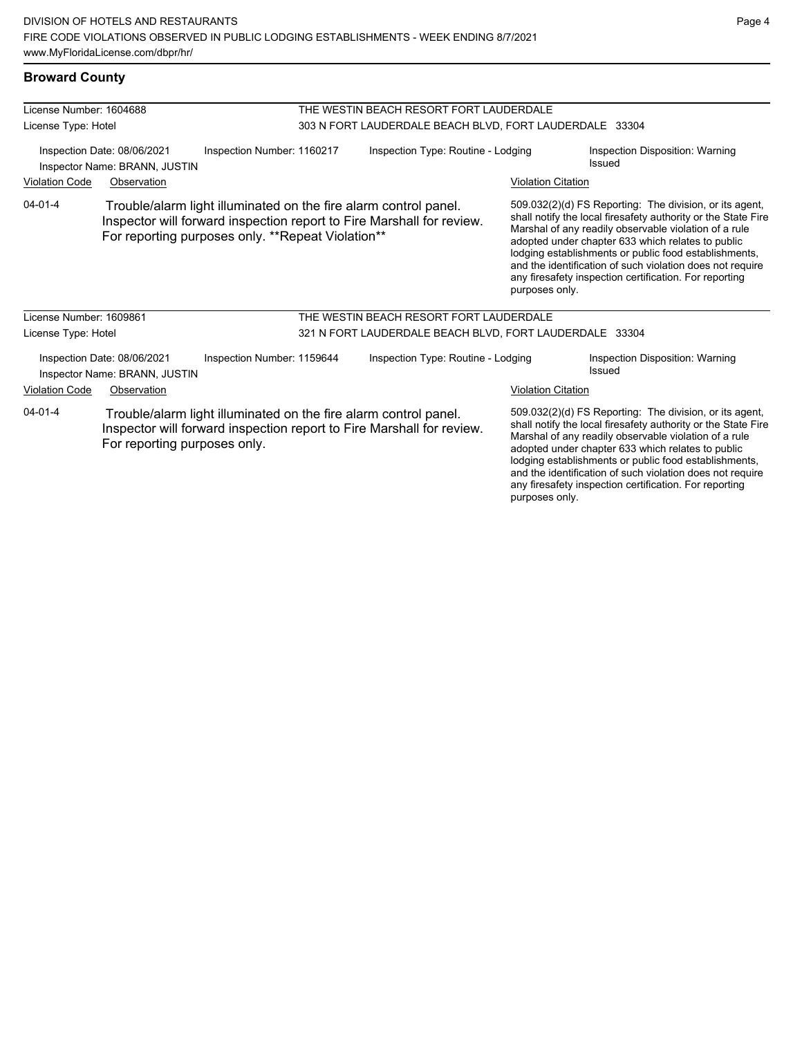| License Number: 1604688 |                                                              |                                                                                                                                                                                                | THE WESTIN BEACH RESORT FORT LAUDERDALE                 |                                                                                 |                                                                                                                                                                                                                                                                                                                                                                                                                        |  |  |
|-------------------------|--------------------------------------------------------------|------------------------------------------------------------------------------------------------------------------------------------------------------------------------------------------------|---------------------------------------------------------|---------------------------------------------------------------------------------|------------------------------------------------------------------------------------------------------------------------------------------------------------------------------------------------------------------------------------------------------------------------------------------------------------------------------------------------------------------------------------------------------------------------|--|--|
| License Type: Hotel     |                                                              |                                                                                                                                                                                                | 303 N FORT LAUDERDALE BEACH BLVD, FORT LAUDERDALE 33304 |                                                                                 |                                                                                                                                                                                                                                                                                                                                                                                                                        |  |  |
|                         | Inspection Date: 08/06/2021<br>Inspector Name: BRANN, JUSTIN | Inspection Number: 1160217                                                                                                                                                                     |                                                         | Inspection Type: Routine - Lodging<br>Inspection Disposition: Warning<br>Issued |                                                                                                                                                                                                                                                                                                                                                                                                                        |  |  |
| <b>Violation Code</b>   | Observation                                                  |                                                                                                                                                                                                |                                                         | <b>Violation Citation</b>                                                       |                                                                                                                                                                                                                                                                                                                                                                                                                        |  |  |
| $04 - 01 - 4$           |                                                              | Trouble/alarm light illuminated on the fire alarm control panel.<br>Inspector will forward inspection report to Fire Marshall for review.<br>For reporting purposes only. **Repeat Violation** |                                                         | purposes only.                                                                  | 509.032(2)(d) FS Reporting: The division, or its agent,<br>shall notify the local firesafety authority or the State Fire<br>Marshal of any readily observable violation of a rule<br>adopted under chapter 633 which relates to public<br>lodging establishments or public food establishments,<br>and the identification of such violation does not require<br>any firesafety inspection certification. For reporting |  |  |
| License Number: 1609861 |                                                              |                                                                                                                                                                                                | THE WESTIN BEACH RESORT FORT LAUDERDALE                 |                                                                                 |                                                                                                                                                                                                                                                                                                                                                                                                                        |  |  |
| License Type: Hotel     |                                                              |                                                                                                                                                                                                | 321 N FORT LAUDERDALE BEACH BLVD, FORT LAUDERDALE 33304 |                                                                                 |                                                                                                                                                                                                                                                                                                                                                                                                                        |  |  |
|                         | Inspection Date: 08/06/2021<br>Inspector Name: BRANN, JUSTIN | Inspection Number: 1159644                                                                                                                                                                     | Inspection Type: Routine - Lodging                      |                                                                                 | Inspection Disposition: Warning<br>Issued                                                                                                                                                                                                                                                                                                                                                                              |  |  |
| <b>Violation Code</b>   | Observation                                                  |                                                                                                                                                                                                |                                                         | <b>Violation Citation</b>                                                       |                                                                                                                                                                                                                                                                                                                                                                                                                        |  |  |
| $04 - 01 - 4$           | For reporting purposes only.                                 | Trouble/alarm light illuminated on the fire alarm control panel.<br>Inspector will forward inspection report to Fire Marshall for review.                                                      |                                                         |                                                                                 | 509.032(2)(d) FS Reporting: The division, or its agent,<br>shall notify the local firesafety authority or the State Fire<br>Marshal of any readily observable violation of a rule<br>adopted under chapter 633 which relates to public<br>lodging establishments or public food establishments,<br>and the identification of such violation does not require                                                           |  |  |

any firesafety inspection certification. For reporting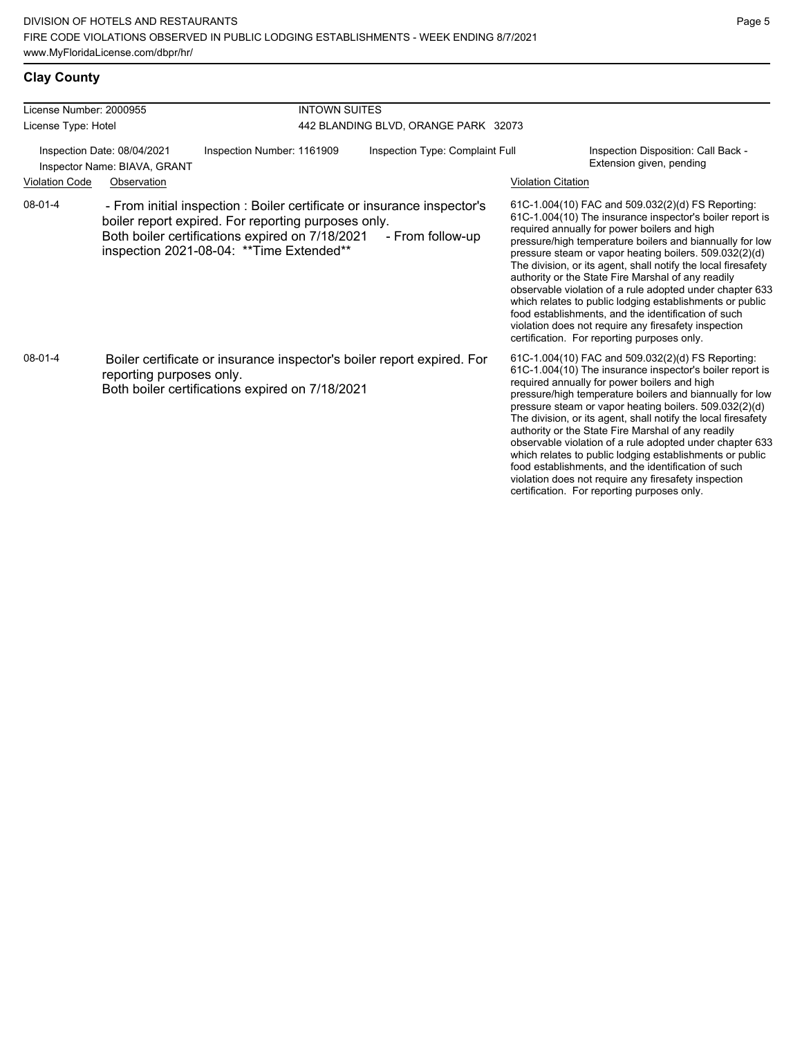# **Clay County**

| License Number: 2000955<br>License Type: Hotel              |                          |                                                                                                                                                                                                                                | <b>INTOWN SUITES</b>                 |                                                                                                                                                                                                                                                                                                                                                                                                                                                                                                                                                                                                                                                                                                  |  |  |  |  |  |
|-------------------------------------------------------------|--------------------------|--------------------------------------------------------------------------------------------------------------------------------------------------------------------------------------------------------------------------------|--------------------------------------|--------------------------------------------------------------------------------------------------------------------------------------------------------------------------------------------------------------------------------------------------------------------------------------------------------------------------------------------------------------------------------------------------------------------------------------------------------------------------------------------------------------------------------------------------------------------------------------------------------------------------------------------------------------------------------------------------|--|--|--|--|--|
|                                                             |                          |                                                                                                                                                                                                                                | 442 BLANDING BLVD, ORANGE PARK 32073 |                                                                                                                                                                                                                                                                                                                                                                                                                                                                                                                                                                                                                                                                                                  |  |  |  |  |  |
| Inspection Date: 08/04/2021<br>Inspector Name: BIAVA, GRANT |                          | Inspection Number: 1161909                                                                                                                                                                                                     | Inspection Type: Complaint Full      | Inspection Disposition: Call Back -<br>Extension given, pending                                                                                                                                                                                                                                                                                                                                                                                                                                                                                                                                                                                                                                  |  |  |  |  |  |
| <b>Violation Code</b>                                       | Observation              |                                                                                                                                                                                                                                |                                      | <b>Violation Citation</b>                                                                                                                                                                                                                                                                                                                                                                                                                                                                                                                                                                                                                                                                        |  |  |  |  |  |
| 08-01-4                                                     |                          | - From initial inspection : Boiler certificate or insurance inspector's<br>boiler report expired. For reporting purposes only.<br>Both boiler certifications expired on 7/18/2021<br>inspection 2021-08-04: ** Time Extended** | - From follow-up                     | 61C-1.004(10) FAC and 509.032(2)(d) FS Reporting:<br>61C-1.004(10) The insurance inspector's boiler report is<br>required annually for power boilers and high<br>pressure/high temperature boilers and biannually for low<br>pressure steam or vapor heating boilers. 509.032(2)(d)<br>The division, or its agent, shall notify the local firesafety<br>authority or the State Fire Marshal of any readily<br>observable violation of a rule adopted under chapter 633<br>which relates to public lodging establishments or public<br>food establishments, and the identification of such<br>violation does not require any firesafety inspection<br>certification. For reporting purposes only. |  |  |  |  |  |
| $08 - 01 - 4$                                               | reporting purposes only. | Boiler certificate or insurance inspector's boiler report expired. For<br>Both boiler certifications expired on 7/18/2021                                                                                                      |                                      | 61C-1.004(10) FAC and 509.032(2)(d) FS Reporting:<br>61C-1.004(10) The insurance inspector's boiler report is<br>required annually for power boilers and high<br>pressure/high temperature boilers and biannually for low<br>pressure steam or vapor heating boilers. 509.032(2)(d)<br>The division, or its agent, shall notify the local firesafety<br>authority or the State Fire Marshal of any readily<br>observable violation of a rule adopted under chapter 633<br>which relates to public lodging establishments or public<br>food establishments, and the identification of such<br>violation does not require any firesafety inspection<br>certification. For reporting purposes only. |  |  |  |  |  |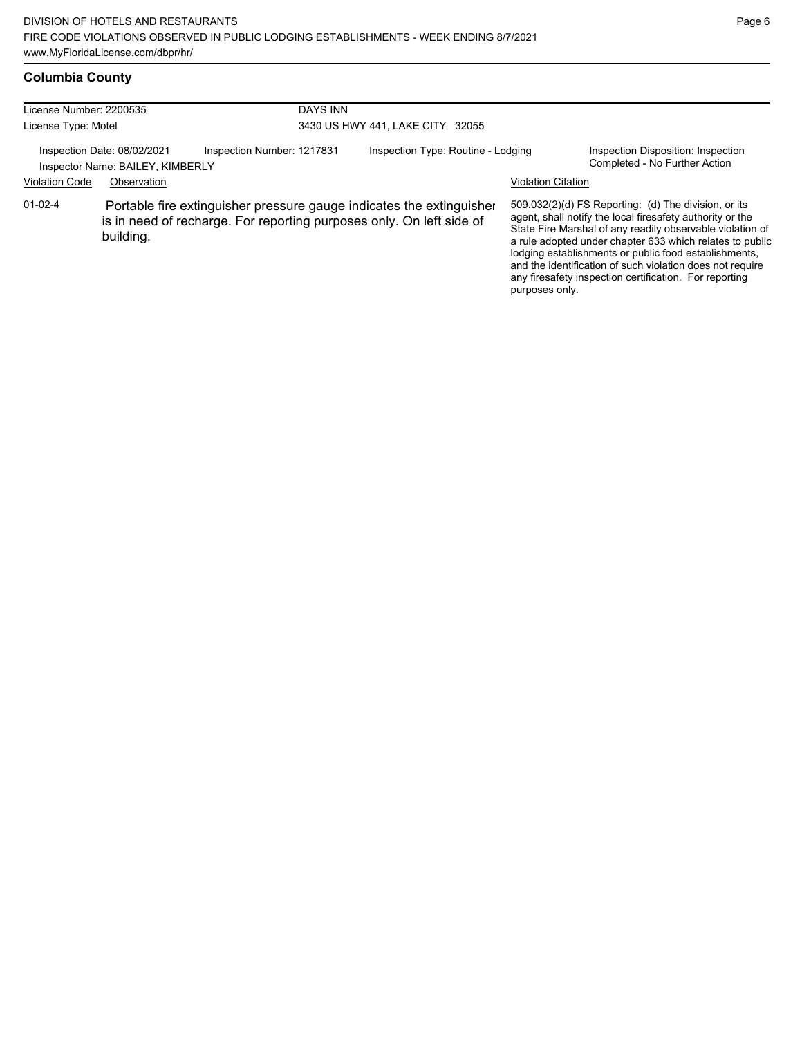# **Columbia County**

| License Number: 2200535 |                                                                                                                                                           | <b>DAYS INN</b>            |                                    |                           |                                                                                                                                                                                                                                                                                                                                                                                                                            |
|-------------------------|-----------------------------------------------------------------------------------------------------------------------------------------------------------|----------------------------|------------------------------------|---------------------------|----------------------------------------------------------------------------------------------------------------------------------------------------------------------------------------------------------------------------------------------------------------------------------------------------------------------------------------------------------------------------------------------------------------------------|
| License Type: Motel     |                                                                                                                                                           |                            | 3430 US HWY 441, LAKE CITY 32055   |                           |                                                                                                                                                                                                                                                                                                                                                                                                                            |
|                         | Inspection Date: 08/02/2021<br>Inspector Name: BAILEY, KIMBERLY                                                                                           | Inspection Number: 1217831 | Inspection Type: Routine - Lodging |                           | Inspection Disposition: Inspection<br>Completed - No Further Action                                                                                                                                                                                                                                                                                                                                                        |
| <b>Violation Code</b>   | Observation                                                                                                                                               |                            |                                    | <b>Violation Citation</b> |                                                                                                                                                                                                                                                                                                                                                                                                                            |
| $01-02-4$               | Portable fire extinguisher pressure gauge indicates the extinguisher<br>is in need of recharge. For reporting purposes only. On left side of<br>building. |                            |                                    | purposes only.            | 509.032(2)(d) FS Reporting: (d) The division, or its<br>agent, shall notify the local firesafety authority or the<br>State Fire Marshal of any readily observable violation of<br>a rule adopted under chapter 633 which relates to public<br>lodging establishments or public food establishments,<br>and the identification of such violation does not require<br>any firesafety inspection certification. For reporting |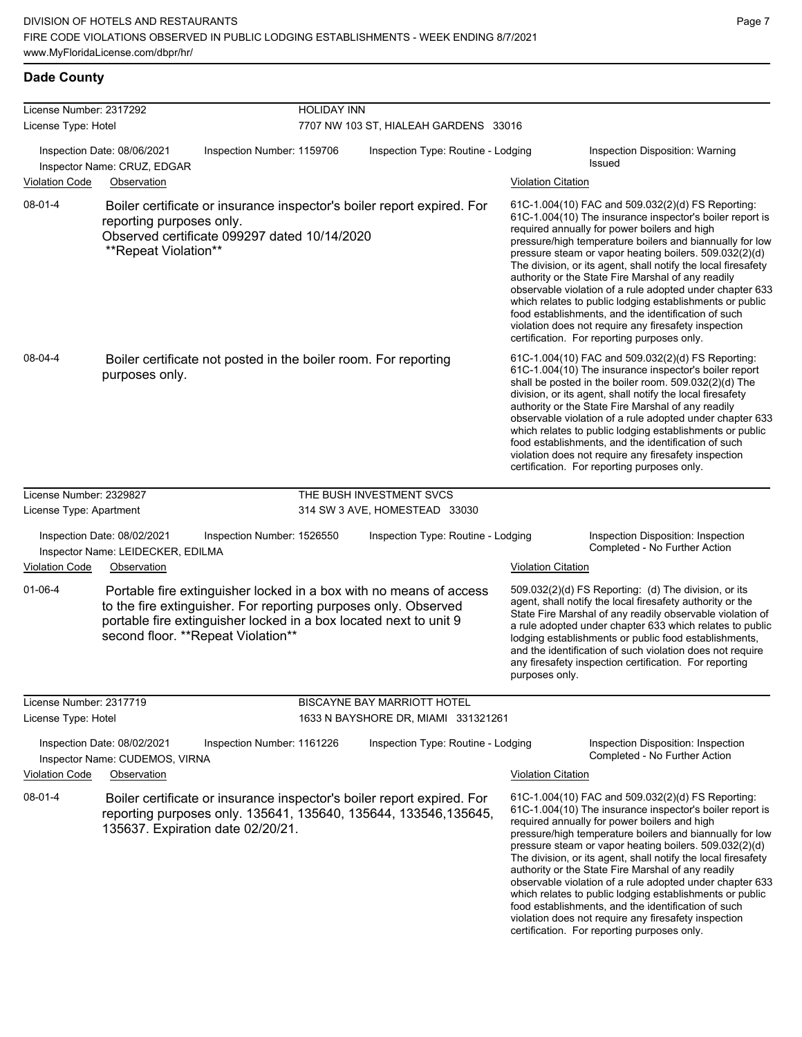which relates to public lodging establishments or public food establishments, and the identification of such violation does not require any firesafety inspection certification. For reporting purposes only.

#### **Dade County**

| License Number: 2317292<br>License Type: Hotel |                                                                  |                                                                                                                                                                                                                                                   | <b>HOLIDAY INN</b><br>7707 NW 103 ST, HIALEAH GARDENS 33016 |                           |                                                                                                                                                                                                                                                                                                                                                                                                                                                                                                                                                                                                                                                                                                  |  |  |
|------------------------------------------------|------------------------------------------------------------------|---------------------------------------------------------------------------------------------------------------------------------------------------------------------------------------------------------------------------------------------------|-------------------------------------------------------------|---------------------------|--------------------------------------------------------------------------------------------------------------------------------------------------------------------------------------------------------------------------------------------------------------------------------------------------------------------------------------------------------------------------------------------------------------------------------------------------------------------------------------------------------------------------------------------------------------------------------------------------------------------------------------------------------------------------------------------------|--|--|
|                                                | Inspection Date: 08/06/2021<br>Inspector Name: CRUZ, EDGAR       | Inspection Number: 1159706                                                                                                                                                                                                                        | Inspection Type: Routine - Lodging                          |                           | Inspection Disposition: Warning<br>Issued                                                                                                                                                                                                                                                                                                                                                                                                                                                                                                                                                                                                                                                        |  |  |
| <b>Violation Code</b>                          | Observation                                                      |                                                                                                                                                                                                                                                   |                                                             | <b>Violation Citation</b> |                                                                                                                                                                                                                                                                                                                                                                                                                                                                                                                                                                                                                                                                                                  |  |  |
| $08-01-4$                                      | reporting purposes only.<br>**Repeat Violation**                 | Boiler certificate or insurance inspector's boiler report expired. For<br>Observed certificate 099297 dated 10/14/2020                                                                                                                            |                                                             |                           | 61C-1.004(10) FAC and 509.032(2)(d) FS Reporting:<br>61C-1.004(10) The insurance inspector's boiler report is<br>required annually for power boilers and high<br>pressure/high temperature boilers and biannually for low<br>pressure steam or vapor heating boilers. 509.032(2)(d)<br>The division, or its agent, shall notify the local firesafety<br>authority or the State Fire Marshal of any readily<br>observable violation of a rule adopted under chapter 633<br>which relates to public lodging establishments or public<br>food establishments, and the identification of such<br>violation does not require any firesafety inspection<br>certification. For reporting purposes only. |  |  |
| 08-04-4                                        | purposes only.                                                   | Boiler certificate not posted in the boiler room. For reporting                                                                                                                                                                                   |                                                             |                           | 61C-1.004(10) FAC and 509.032(2)(d) FS Reporting:<br>61C-1.004(10) The insurance inspector's boiler report<br>shall be posted in the boiler room. 509.032(2)(d) The<br>division, or its agent, shall notify the local firesafety<br>authority or the State Fire Marshal of any readily<br>observable violation of a rule adopted under chapter 633<br>which relates to public lodging establishments or public<br>food establishments, and the identification of such<br>violation does not require any firesafety inspection<br>certification. For reporting purposes only.                                                                                                                     |  |  |
| License Number: 2329827                        |                                                                  |                                                                                                                                                                                                                                                   | THE BUSH INVESTMENT SVCS                                    |                           |                                                                                                                                                                                                                                                                                                                                                                                                                                                                                                                                                                                                                                                                                                  |  |  |
| License Type: Apartment                        |                                                                  |                                                                                                                                                                                                                                                   | 314 SW 3 AVE, HOMESTEAD 33030                               |                           |                                                                                                                                                                                                                                                                                                                                                                                                                                                                                                                                                                                                                                                                                                  |  |  |
|                                                | Inspection Date: 08/02/2021<br>Inspector Name: LEIDECKER, EDILMA | Inspection Number: 1526550                                                                                                                                                                                                                        | Inspection Type: Routine - Lodging                          |                           | Inspection Disposition: Inspection<br>Completed - No Further Action                                                                                                                                                                                                                                                                                                                                                                                                                                                                                                                                                                                                                              |  |  |
| <b>Violation Code</b>                          | Observation                                                      |                                                                                                                                                                                                                                                   |                                                             | <b>Violation Citation</b> |                                                                                                                                                                                                                                                                                                                                                                                                                                                                                                                                                                                                                                                                                                  |  |  |
| $01 - 06 - 4$                                  |                                                                  | Portable fire extinguisher locked in a box with no means of access<br>to the fire extinguisher. For reporting purposes only. Observed<br>portable fire extinguisher locked in a box located next to unit 9<br>second floor. ** Repeat Violation** |                                                             | purposes only.            | 509.032(2)(d) FS Reporting: (d) The division, or its<br>agent, shall notify the local firesafety authority or the<br>State Fire Marshal of any readily observable violation of<br>a rule adopted under chapter 633 which relates to public<br>lodging establishments or public food establishments,<br>and the identification of such violation does not require<br>any firesafety inspection certification. For reporting                                                                                                                                                                                                                                                                       |  |  |
| License Number: 2317719                        |                                                                  |                                                                                                                                                                                                                                                   | <b>BISCAYNE BAY MARRIOTT HOTEL</b>                          |                           |                                                                                                                                                                                                                                                                                                                                                                                                                                                                                                                                                                                                                                                                                                  |  |  |
| License Type: Hotel                            |                                                                  |                                                                                                                                                                                                                                                   | 1633 N BAYSHORE DR, MIAMI 331321261                         |                           |                                                                                                                                                                                                                                                                                                                                                                                                                                                                                                                                                                                                                                                                                                  |  |  |
|                                                | Inspection Date: 08/02/2021<br>Inspector Name: CUDEMOS, VIRNA    | Inspection Number: 1161226                                                                                                                                                                                                                        | Inspection Type: Routine - Lodging                          |                           | Inspection Disposition: Inspection<br>Completed - No Further Action                                                                                                                                                                                                                                                                                                                                                                                                                                                                                                                                                                                                                              |  |  |
| <b>Violation Code</b>                          | Observation                                                      |                                                                                                                                                                                                                                                   |                                                             | <b>Violation Citation</b> |                                                                                                                                                                                                                                                                                                                                                                                                                                                                                                                                                                                                                                                                                                  |  |  |
| $08-01-4$                                      |                                                                  | Boiler certificate or insurance inspector's boiler report expired. For<br>reporting purposes only. 135641, 135640, 135644, 133546, 135645,<br>135637. Expiration date 02/20/21.                                                                   |                                                             |                           | 61C-1.004(10) FAC and 509.032(2)(d) FS Reporting:<br>61C-1.004(10) The insurance inspector's boiler report is<br>required annually for power boilers and high<br>pressure/high temperature boilers and biannually for low<br>pressure steam or vapor heating boilers. 509.032(2)(d)<br>The division, or its agent, shall notify the local firesafety<br>authority or the State Fire Marshal of any readily<br>observable violation of a rule adopted under chapter 633                                                                                                                                                                                                                           |  |  |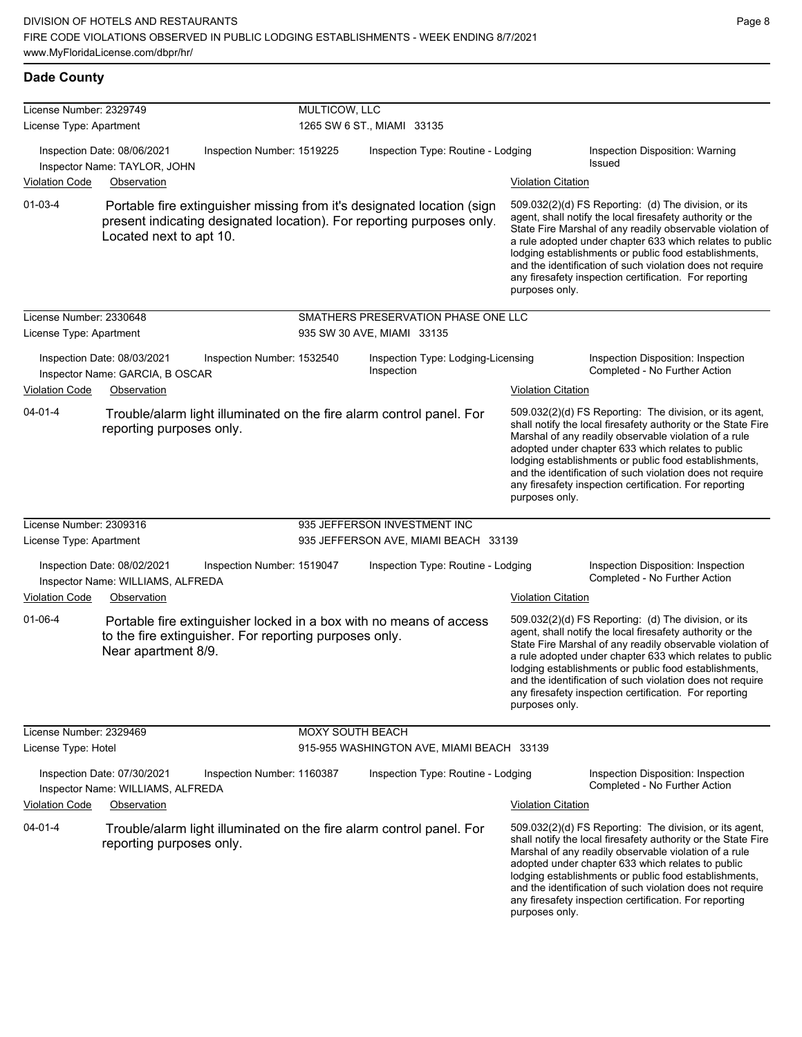| <b>Dade County</b>                                 |                                                                                                             |                            |                                    |                                                                                                                                                 |                                             |                                                                                                                                                                                                                                                                                                                                                                                                                            |
|----------------------------------------------------|-------------------------------------------------------------------------------------------------------------|----------------------------|------------------------------------|-------------------------------------------------------------------------------------------------------------------------------------------------|---------------------------------------------|----------------------------------------------------------------------------------------------------------------------------------------------------------------------------------------------------------------------------------------------------------------------------------------------------------------------------------------------------------------------------------------------------------------------------|
| License Number: 2329749<br>License Type: Apartment |                                                                                                             |                            | MULTICOW, LLC                      | 1265 SW 6 ST., MIAMI 33135                                                                                                                      |                                             |                                                                                                                                                                                                                                                                                                                                                                                                                            |
| Violation Code                                     | Inspection Date: 08/06/2021<br>Inspector Name: TAYLOR, JOHN<br>Observation                                  | Inspection Number: 1519225 | Inspection Type: Routine - Lodging |                                                                                                                                                 | <b>Violation Citation</b>                   | Inspection Disposition: Warning<br>Issued                                                                                                                                                                                                                                                                                                                                                                                  |
| $01 - 03 - 4$                                      | Located next to apt 10.                                                                                     |                            |                                    | Portable fire extinguisher missing from it's designated location (sign<br>present indicating designated location). For reporting purposes only. | purposes only.                              | 509.032(2)(d) FS Reporting: (d) The division, or its<br>agent, shall notify the local firesafety authority or the<br>State Fire Marshal of any readily observable violation of<br>a rule adopted under chapter 633 which relates to public<br>lodging establishments or public food establishments,<br>and the identification of such violation does not require<br>any firesafety inspection certification. For reporting |
| License Number: 2330648<br>License Type: Apartment |                                                                                                             |                            |                                    | SMATHERS PRESERVATION PHASE ONE LLC<br>935 SW 30 AVE, MIAMI 33135                                                                               |                                             |                                                                                                                                                                                                                                                                                                                                                                                                                            |
| <b>Violation Code</b>                              | Inspection Date: 08/03/2021<br>Inspector Name: GARCIA, B OSCAR<br>Observation                               | Inspection Number: 1532540 |                                    | Inspection Type: Lodging-Licensing<br>Inspection                                                                                                | <b>Violation Citation</b>                   | Inspection Disposition: Inspection<br>Completed - No Further Action                                                                                                                                                                                                                                                                                                                                                        |
| $04 - 01 - 4$                                      | reporting purposes only.                                                                                    |                            |                                    | Trouble/alarm light illuminated on the fire alarm control panel. For                                                                            | purposes only.                              | 509.032(2)(d) FS Reporting: The division, or its agent,<br>shall notify the local firesafety authority or the State Fire<br>Marshal of any readily observable violation of a rule<br>adopted under chapter 633 which relates to public<br>lodging establishments or public food establishments,<br>and the identification of such violation does not require<br>any firesafety inspection certification. For reporting     |
| License Number: 2309316                            |                                                                                                             |                            |                                    | 935 JEFFERSON INVESTMENT INC                                                                                                                    |                                             |                                                                                                                                                                                                                                                                                                                                                                                                                            |
| License Type: Apartment                            |                                                                                                             |                            |                                    | 935 JEFFERSON AVE, MIAMI BEACH 33139                                                                                                            |                                             |                                                                                                                                                                                                                                                                                                                                                                                                                            |
|                                                    | Inspection Date: 08/02/2021<br>Inspector Name: WILLIAMS, ALFREDA                                            | Inspection Number: 1519047 |                                    | Inspection Type: Routine - Lodging                                                                                                              |                                             | Inspection Disposition: Inspection<br>Completed - No Further Action                                                                                                                                                                                                                                                                                                                                                        |
| <b>Violation Code</b><br>$01 - 06 - 4$             | Observation<br>to the fire extinguisher. For reporting purposes only.<br>Near apartment 8/9.                |                            |                                    | Portable fire extinguisher locked in a box with no means of access                                                                              | <b>Violation Citation</b><br>purposes only. | 509.032(2)(d) FS Reporting: (d) The division, or its<br>agent, shall notify the local firesafety authority or the<br>State Fire Marshal of any readily observable violation of<br>a rule adopted under chapter 633 which relates to public<br>lodging establishments or public food establishments,<br>and the identification of such violation does not require<br>any firesafety inspection certification. For reporting |
| License Number: 2329469<br>License Type: Hotel     |                                                                                                             |                            | <b>MOXY SOUTH BEACH</b>            | 915-955 WASHINGTON AVE, MIAMI BEACH 33139                                                                                                       |                                             |                                                                                                                                                                                                                                                                                                                                                                                                                            |
| <b>Violation Code</b><br>$04 - 01 - 4$             | Inspection Date: 07/30/2021<br>Inspector Name: WILLIAMS, ALFREDA<br>Observation<br>reporting purposes only. | Inspection Number: 1160387 |                                    | Inspection Type: Routine - Lodging<br>Trouble/alarm light illuminated on the fire alarm control panel. For                                      | <b>Violation Citation</b>                   | Inspection Disposition: Inspection<br>Completed - No Further Action<br>509.032(2)(d) FS Reporting: The division, or its agent,<br>shall notify the local firesafety authority or the State Fire<br>Marshal of any readily observable violation of a rule<br>adopted under chapter 633 which relates to public<br>lodging establishments or public food establishments,                                                     |
|                                                    |                                                                                                             |                            |                                    |                                                                                                                                                 | purposes only.                              | and the identification of such violation does not require<br>any firesafety inspection certification. For reporting                                                                                                                                                                                                                                                                                                        |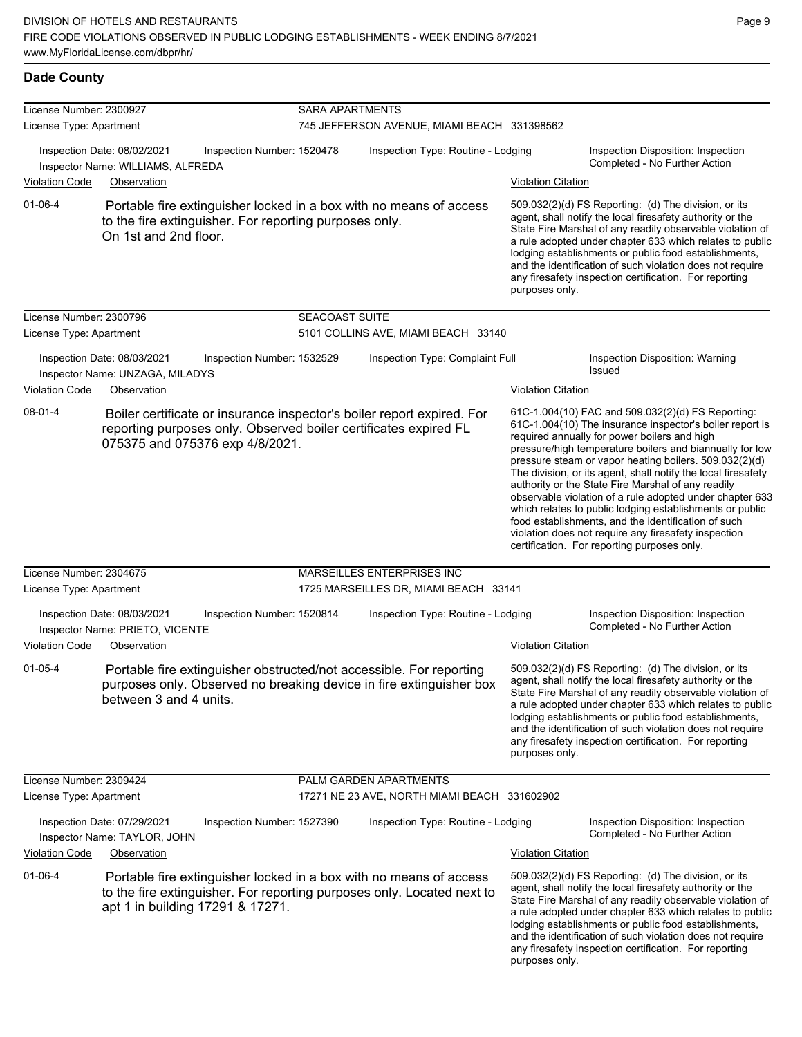| License Number: 2300927<br>License Type: Apartment |                                                                               |                                                        | <b>SARA APARTMENTS</b><br>745 JEFFERSON AVENUE, MIAMI BEACH 331398562 |                                                                                                                                              |                           |                                                                                                                                                                                                                                                                                                                                                                                                                                                                                                                                                                                                                                                                                                  |  |
|----------------------------------------------------|-------------------------------------------------------------------------------|--------------------------------------------------------|-----------------------------------------------------------------------|----------------------------------------------------------------------------------------------------------------------------------------------|---------------------------|--------------------------------------------------------------------------------------------------------------------------------------------------------------------------------------------------------------------------------------------------------------------------------------------------------------------------------------------------------------------------------------------------------------------------------------------------------------------------------------------------------------------------------------------------------------------------------------------------------------------------------------------------------------------------------------------------|--|
|                                                    | Inspection Date: 08/02/2021<br>Inspector Name: WILLIAMS, ALFREDA              | Inspection Number: 1520478                             |                                                                       | Inspection Type: Routine - Lodging                                                                                                           |                           | Inspection Disposition: Inspection<br>Completed - No Further Action                                                                                                                                                                                                                                                                                                                                                                                                                                                                                                                                                                                                                              |  |
| Violation Code                                     | Observation                                                                   |                                                        |                                                                       |                                                                                                                                              | <b>Violation Citation</b> |                                                                                                                                                                                                                                                                                                                                                                                                                                                                                                                                                                                                                                                                                                  |  |
| $01-06-4$                                          | On 1st and 2nd floor.                                                         | to the fire extinguisher. For reporting purposes only. |                                                                       | Portable fire extinguisher locked in a box with no means of access                                                                           | purposes only.            | 509.032(2)(d) FS Reporting: (d) The division, or its<br>agent, shall notify the local firesafety authority or the<br>State Fire Marshal of any readily observable violation of<br>a rule adopted under chapter 633 which relates to public<br>lodging establishments or public food establishments,<br>and the identification of such violation does not require<br>any firesafety inspection certification. For reporting                                                                                                                                                                                                                                                                       |  |
| License Number: 2300796                            |                                                                               |                                                        | SEACOAST SUITE                                                        |                                                                                                                                              |                           |                                                                                                                                                                                                                                                                                                                                                                                                                                                                                                                                                                                                                                                                                                  |  |
| License Type: Apartment                            |                                                                               |                                                        |                                                                       | 5101 COLLINS AVE, MIAMI BEACH 33140                                                                                                          |                           |                                                                                                                                                                                                                                                                                                                                                                                                                                                                                                                                                                                                                                                                                                  |  |
| Violation Code                                     | Inspection Date: 08/03/2021<br>Inspector Name: UNZAGA, MILADYS<br>Observation | Inspection Number: 1532529                             |                                                                       | Inspection Type: Complaint Full                                                                                                              | <b>Violation Citation</b> | Inspection Disposition: Warning<br>Issued                                                                                                                                                                                                                                                                                                                                                                                                                                                                                                                                                                                                                                                        |  |
| 08-01-4                                            |                                                                               | 075375 and 075376 exp 4/8/2021.                        |                                                                       | Boiler certificate or insurance inspector's boiler report expired. For<br>reporting purposes only. Observed boiler certificates expired FL   |                           | 61C-1.004(10) FAC and 509.032(2)(d) FS Reporting:<br>61C-1.004(10) The insurance inspector's boiler report is<br>required annually for power boilers and high<br>pressure/high temperature boilers and biannually for low<br>pressure steam or vapor heating boilers. 509.032(2)(d)<br>The division, or its agent, shall notify the local firesafety<br>authority or the State Fire Marshal of any readily<br>observable violation of a rule adopted under chapter 633<br>which relates to public lodging establishments or public<br>food establishments, and the identification of such<br>violation does not require any firesafety inspection<br>certification. For reporting purposes only. |  |
| License Number: 2304675                            |                                                                               |                                                        |                                                                       | MARSEILLES ENTERPRISES INC                                                                                                                   |                           |                                                                                                                                                                                                                                                                                                                                                                                                                                                                                                                                                                                                                                                                                                  |  |
| License Type: Apartment                            |                                                                               |                                                        |                                                                       | 1725 MARSEILLES DR, MIAMI BEACH 33141                                                                                                        |                           |                                                                                                                                                                                                                                                                                                                                                                                                                                                                                                                                                                                                                                                                                                  |  |
|                                                    | Inspection Date: 08/03/2021<br>Inspector Name: PRIETO, VICENTE                | Inspection Number: 1520814                             |                                                                       | Inspection Type: Routine - Lodging                                                                                                           |                           | Inspection Disposition: Inspection<br>Completed - No Further Action                                                                                                                                                                                                                                                                                                                                                                                                                                                                                                                                                                                                                              |  |
| <b>Violation Code</b>                              | Observation                                                                   |                                                        |                                                                       |                                                                                                                                              | <b>Violation Citation</b> |                                                                                                                                                                                                                                                                                                                                                                                                                                                                                                                                                                                                                                                                                                  |  |
| $01 - 05 - 4$                                      | between 3 and 4 units.                                                        |                                                        |                                                                       | Portable fire extinguisher obstructed/not accessible. For reporting<br>purposes only. Observed no breaking device in fire extinguisher box   | purposes only.            | 509.032(2)(d) FS Reporting: (d) The division, or its<br>agent, shall notify the local firesafety authority or the<br>State Fire Marshal of any readily observable violation of<br>a rule adopted under chapter 633 which relates to public<br>lodging establishments or public food establishments,<br>and the identification of such violation does not require<br>any firesafety inspection certification. For reporting                                                                                                                                                                                                                                                                       |  |
| License Number: 2309424                            |                                                                               |                                                        |                                                                       | PALM GARDEN APARTMENTS                                                                                                                       |                           |                                                                                                                                                                                                                                                                                                                                                                                                                                                                                                                                                                                                                                                                                                  |  |
| License Type: Apartment                            |                                                                               |                                                        |                                                                       | 17271 NE 23 AVE, NORTH MIAMI BEACH 331602902                                                                                                 |                           |                                                                                                                                                                                                                                                                                                                                                                                                                                                                                                                                                                                                                                                                                                  |  |
|                                                    | Inspection Date: 07/29/2021<br>Inspector Name: TAYLOR, JOHN                   | Inspection Number: 1527390                             |                                                                       | Inspection Type: Routine - Lodging                                                                                                           |                           | Inspection Disposition: Inspection<br>Completed - No Further Action                                                                                                                                                                                                                                                                                                                                                                                                                                                                                                                                                                                                                              |  |
| Violation Code                                     | Observation                                                                   |                                                        |                                                                       |                                                                                                                                              | <b>Violation Citation</b> |                                                                                                                                                                                                                                                                                                                                                                                                                                                                                                                                                                                                                                                                                                  |  |
| $01 - 06 - 4$                                      | apt 1 in building 17291 & 17271.                                              |                                                        |                                                                       | Portable fire extinguisher locked in a box with no means of access<br>to the fire extinguisher. For reporting purposes only. Located next to | purposes only.            | 509.032(2)(d) FS Reporting: (d) The division, or its<br>agent, shall notify the local firesafety authority or the<br>State Fire Marshal of any readily observable violation of<br>a rule adopted under chapter 633 which relates to public<br>lodging establishments or public food establishments,<br>and the identification of such violation does not require<br>any firesafety inspection certification. For reporting                                                                                                                                                                                                                                                                       |  |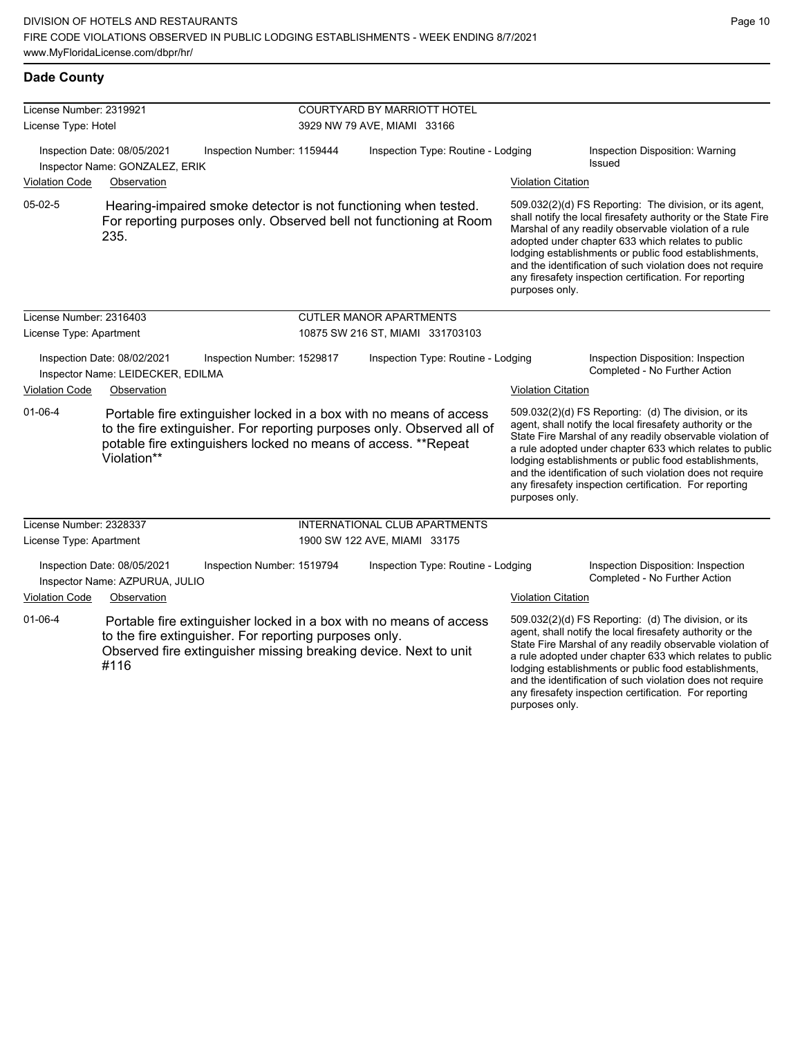| <b>Dade County</b> |
|--------------------|
|                    |

| License Number: 2319921 |                                                                  |                                                                                                                            |                                    | <b>COURTYARD BY MARRIOTT HOTEL</b>                                                                                                           |                           |                                                                                                                                                                                                                                                                                                                                                                                                                            |  |  |
|-------------------------|------------------------------------------------------------------|----------------------------------------------------------------------------------------------------------------------------|------------------------------------|----------------------------------------------------------------------------------------------------------------------------------------------|---------------------------|----------------------------------------------------------------------------------------------------------------------------------------------------------------------------------------------------------------------------------------------------------------------------------------------------------------------------------------------------------------------------------------------------------------------------|--|--|
| License Type: Hotel     |                                                                  |                                                                                                                            | 3929 NW 79 AVE, MIAMI 33166        |                                                                                                                                              |                           |                                                                                                                                                                                                                                                                                                                                                                                                                            |  |  |
|                         | Inspection Date: 08/05/2021<br>Inspector Name: GONZALEZ, ERIK    | Inspection Number: 1159444                                                                                                 | Inspection Type: Routine - Lodging |                                                                                                                                              |                           | Inspection Disposition: Warning<br>Issued                                                                                                                                                                                                                                                                                                                                                                                  |  |  |
| <b>Violation Code</b>   | Observation                                                      |                                                                                                                            |                                    |                                                                                                                                              | <b>Violation Citation</b> |                                                                                                                                                                                                                                                                                                                                                                                                                            |  |  |
| $05-02-5$               | 235.                                                             |                                                                                                                            |                                    | Hearing-impaired smoke detector is not functioning when tested.<br>For reporting purposes only. Observed bell not functioning at Room        | purposes only.            | 509.032(2)(d) FS Reporting: The division, or its agent,<br>shall notify the local firesafety authority or the State Fire<br>Marshal of any readily observable violation of a rule<br>adopted under chapter 633 which relates to public<br>lodging establishments or public food establishments,<br>and the identification of such violation does not require<br>any firesafety inspection certification. For reporting     |  |  |
| License Number: 2316403 |                                                                  |                                                                                                                            |                                    | <b>CUTLER MANOR APARTMENTS</b>                                                                                                               |                           |                                                                                                                                                                                                                                                                                                                                                                                                                            |  |  |
| License Type: Apartment |                                                                  |                                                                                                                            |                                    | 10875 SW 216 ST, MIAMI 331703103                                                                                                             |                           |                                                                                                                                                                                                                                                                                                                                                                                                                            |  |  |
|                         | Inspection Date: 08/02/2021<br>Inspector Name: LEIDECKER, EDILMA | Inspection Number: 1529817                                                                                                 |                                    | Inspection Type: Routine - Lodging                                                                                                           |                           | Inspection Disposition: Inspection<br>Completed - No Further Action                                                                                                                                                                                                                                                                                                                                                        |  |  |
| <b>Violation Code</b>   | Observation                                                      |                                                                                                                            |                                    |                                                                                                                                              | <b>Violation Citation</b> |                                                                                                                                                                                                                                                                                                                                                                                                                            |  |  |
| $01 - 06 - 4$           | Violation**                                                      | potable fire extinguishers locked no means of access. **Repeat                                                             |                                    | Portable fire extinguisher locked in a box with no means of access<br>to the fire extinguisher. For reporting purposes only. Observed all of | purposes only.            | 509.032(2)(d) FS Reporting: (d) The division, or its<br>agent, shall notify the local firesafety authority or the<br>State Fire Marshal of any readily observable violation of<br>a rule adopted under chapter 633 which relates to public<br>lodging establishments or public food establishments,<br>and the identification of such violation does not require<br>any firesafety inspection certification. For reporting |  |  |
| License Number: 2328337 |                                                                  |                                                                                                                            |                                    | INTERNATIONAL CLUB APARTMENTS                                                                                                                |                           |                                                                                                                                                                                                                                                                                                                                                                                                                            |  |  |
| License Type: Apartment |                                                                  |                                                                                                                            |                                    | 1900 SW 122 AVE, MIAMI 33175                                                                                                                 |                           |                                                                                                                                                                                                                                                                                                                                                                                                                            |  |  |
|                         | Inspection Date: 08/05/2021<br>Inspector Name: AZPURUA, JULIO    | Inspection Number: 1519794                                                                                                 |                                    | Inspection Type: Routine - Lodging                                                                                                           |                           | Inspection Disposition: Inspection<br>Completed - No Further Action                                                                                                                                                                                                                                                                                                                                                        |  |  |
| <b>Violation Code</b>   | Observation                                                      |                                                                                                                            |                                    |                                                                                                                                              | <b>Violation Citation</b> |                                                                                                                                                                                                                                                                                                                                                                                                                            |  |  |
| $01 - 06 - 4$           | #116                                                             | to the fire extinguisher. For reporting purposes only.<br>Observed fire extinguisher missing breaking device. Next to unit |                                    | Portable fire extinguisher locked in a box with no means of access                                                                           |                           | 509.032(2)(d) FS Reporting: (d) The division, or its<br>agent, shall notify the local firesafety authority or the<br>State Fire Marshal of any readily observable violation of<br>a rule adopted under chapter 633 which relates to public<br>lodging establishments or public food establishments,<br>and the identification of such violation does not require<br>any firesafety inspection certification. For reporting |  |  |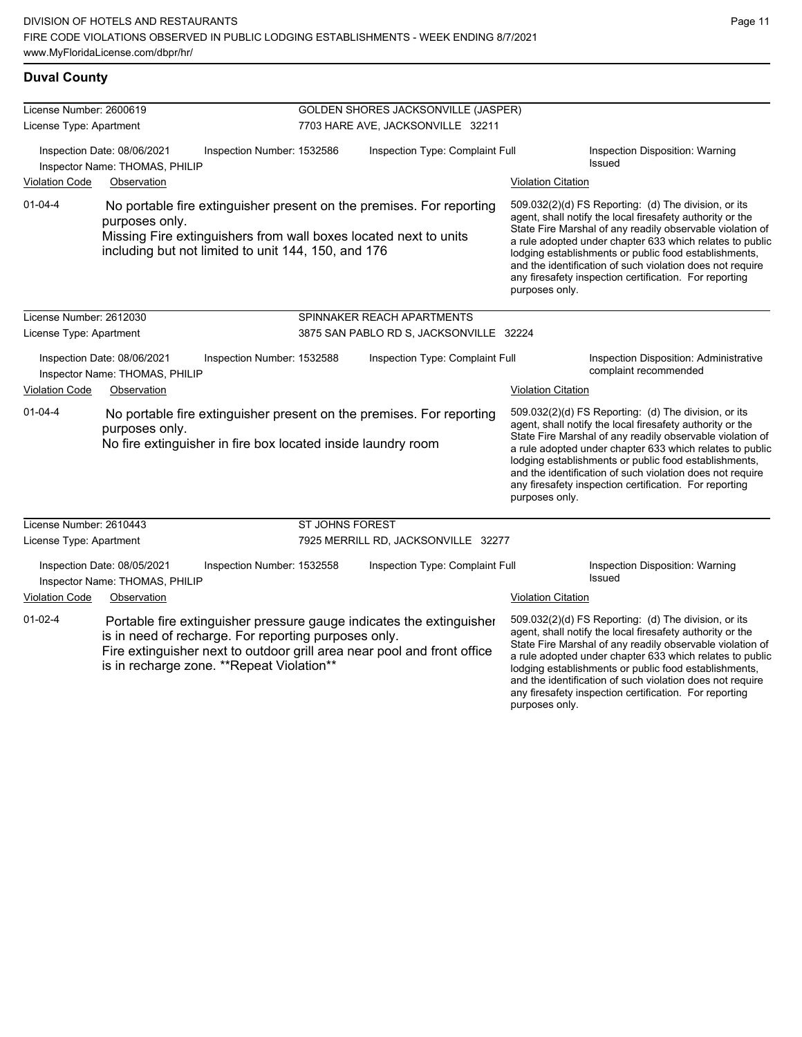#### **Duval County**

| License Number: 2600619                                                                     |                                                               |                                                                                                   | <b>GOLDEN SHORES JACKSONVILLE (JASPER)</b> |                                                                                                                                                 |                                                                 |                                                                                                                                                                                                                                                                                                                                                                                                                            |  |  |
|---------------------------------------------------------------------------------------------|---------------------------------------------------------------|---------------------------------------------------------------------------------------------------|--------------------------------------------|-------------------------------------------------------------------------------------------------------------------------------------------------|-----------------------------------------------------------------|----------------------------------------------------------------------------------------------------------------------------------------------------------------------------------------------------------------------------------------------------------------------------------------------------------------------------------------------------------------------------------------------------------------------------|--|--|
| License Type: Apartment                                                                     |                                                               |                                                                                                   | 7703 HARE AVE, JACKSONVILLE 32211          |                                                                                                                                                 |                                                                 |                                                                                                                                                                                                                                                                                                                                                                                                                            |  |  |
| Inspection Date: 08/06/2021<br>Inspector Name: THOMAS, PHILIP                               |                                                               | Inspection Number: 1532586                                                                        | Inspection Type: Complaint Full            |                                                                                                                                                 | Inspection Disposition: Warning<br><b>Issued</b>                |                                                                                                                                                                                                                                                                                                                                                                                                                            |  |  |
| <b>Violation Code</b>                                                                       | Observation                                                   |                                                                                                   |                                            |                                                                                                                                                 | <b>Violation Citation</b>                                       |                                                                                                                                                                                                                                                                                                                                                                                                                            |  |  |
| $01 - 04 - 4$                                                                               | purposes only.                                                | including but not limited to unit 144, 150, and 176                                               |                                            | No portable fire extinguisher present on the premises. For reporting<br>Missing Fire extinguishers from wall boxes located next to units        | purposes only.                                                  | 509.032(2)(d) FS Reporting: (d) The division, or its<br>agent, shall notify the local firesafety authority or the<br>State Fire Marshal of any readily observable violation of<br>a rule adopted under chapter 633 which relates to public<br>lodging establishments or public food establishments,<br>and the identification of such violation does not require<br>any firesafety inspection certification. For reporting |  |  |
| License Number: 2612030                                                                     |                                                               |                                                                                                   |                                            | SPINNAKER REACH APARTMENTS                                                                                                                      |                                                                 |                                                                                                                                                                                                                                                                                                                                                                                                                            |  |  |
| License Type: Apartment                                                                     |                                                               |                                                                                                   |                                            | 3875 SAN PABLO RD S, JACKSONVILLE 32224                                                                                                         |                                                                 |                                                                                                                                                                                                                                                                                                                                                                                                                            |  |  |
| Inspection Date: 08/06/2021<br>Inspection Number: 1532588<br>Inspector Name: THOMAS, PHILIP |                                                               |                                                                                                   | Inspection Type: Complaint Full            |                                                                                                                                                 | Inspection Disposition: Administrative<br>complaint recommended |                                                                                                                                                                                                                                                                                                                                                                                                                            |  |  |
| <b>Violation Code</b>                                                                       | Observation                                                   |                                                                                                   |                                            |                                                                                                                                                 | <b>Violation Citation</b>                                       |                                                                                                                                                                                                                                                                                                                                                                                                                            |  |  |
| $01 - 04 - 4$                                                                               | purposes only.                                                | No fire extinguisher in fire box located inside laundry room                                      |                                            | No portable fire extinguisher present on the premises. For reporting                                                                            | purposes only.                                                  | 509.032(2)(d) FS Reporting: (d) The division, or its<br>agent, shall notify the local firesafety authority or the<br>State Fire Marshal of any readily observable violation of<br>a rule adopted under chapter 633 which relates to public<br>lodging establishments or public food establishments,<br>and the identification of such violation does not require<br>any firesafety inspection certification. For reporting |  |  |
| License Number: 2610443                                                                     |                                                               |                                                                                                   | <b>ST JOHNS FOREST</b>                     |                                                                                                                                                 |                                                                 |                                                                                                                                                                                                                                                                                                                                                                                                                            |  |  |
| License Type: Apartment                                                                     |                                                               |                                                                                                   |                                            | 7925 MERRILL RD, JACKSONVILLE 32277                                                                                                             |                                                                 |                                                                                                                                                                                                                                                                                                                                                                                                                            |  |  |
|                                                                                             | Inspection Date: 08/05/2021<br>Inspector Name: THOMAS, PHILIP | Inspection Number: 1532558                                                                        |                                            | Inspection Type: Complaint Full                                                                                                                 |                                                                 | Inspection Disposition: Warning<br>Issued                                                                                                                                                                                                                                                                                                                                                                                  |  |  |
| <b>Violation Code</b>                                                                       | Observation                                                   |                                                                                                   |                                            |                                                                                                                                                 | <b>Violation Citation</b>                                       |                                                                                                                                                                                                                                                                                                                                                                                                                            |  |  |
| $01-02-4$                                                                                   |                                                               | is in need of recharge. For reporting purposes only.<br>is in recharge zone. **Repeat Violation** |                                            | Portable fire extinguisher pressure gauge indicates the extinguisher<br>Fire extinguisher next to outdoor grill area near pool and front office |                                                                 | 509.032(2)(d) FS Reporting: (d) The division, or its<br>agent, shall notify the local firesafety authority or the<br>State Fire Marshal of any readily observable violation of<br>a rule adopted under chapter 633 which relates to public<br>lodging establishments or public food establishments,                                                                                                                        |  |  |

and the identification of such violation does not require any firesafety inspection certification. For reporting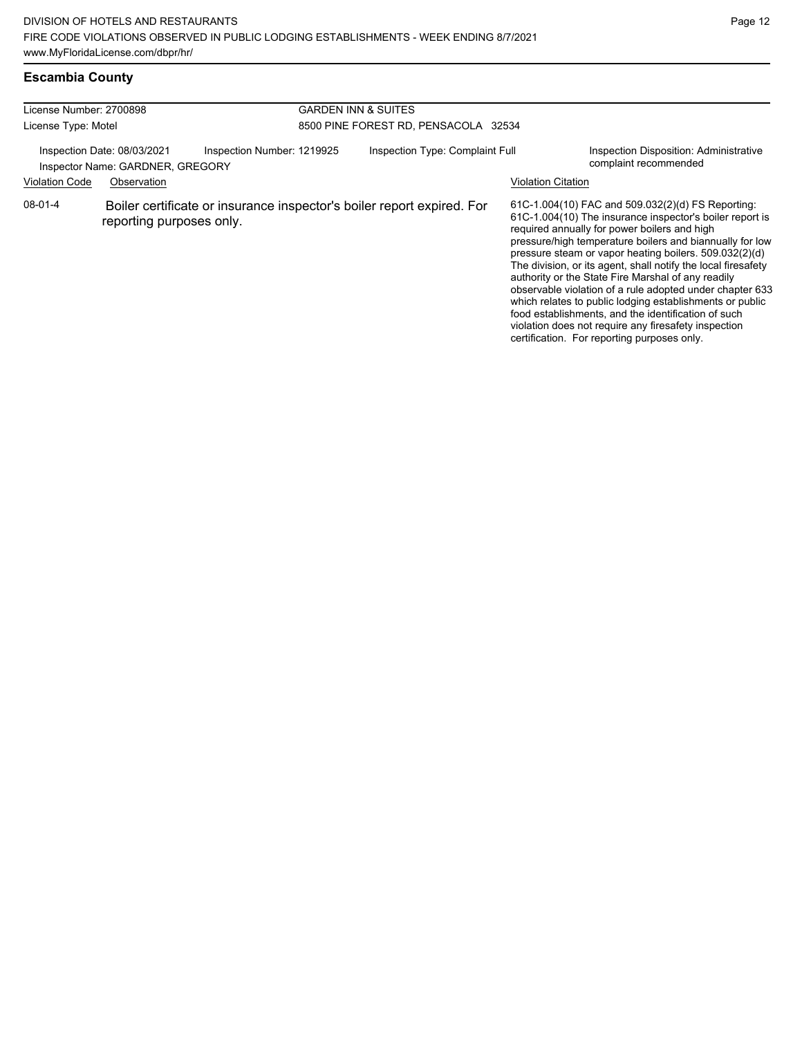#### **Escambia County**

| License Number: 2700898<br>License Type: Motel |                                                                                                              | <b>GARDEN INN &amp; SUITES</b><br>8500 PINE FOREST RD, PENSACOLA 32534 |  |                                                                 |                                                                                                                                                                                                                                                                                                                                                                                                                                                                                                                                                                                                                                                                                                  |
|------------------------------------------------|--------------------------------------------------------------------------------------------------------------|------------------------------------------------------------------------|--|-----------------------------------------------------------------|--------------------------------------------------------------------------------------------------------------------------------------------------------------------------------------------------------------------------------------------------------------------------------------------------------------------------------------------------------------------------------------------------------------------------------------------------------------------------------------------------------------------------------------------------------------------------------------------------------------------------------------------------------------------------------------------------|
| <b>Violation Code</b>                          | Inspection Date: 08/03/2021<br>Inspection Number: 1219925<br>Inspector Name: GARDNER, GREGORY<br>Observation | Inspection Type: Complaint Full<br>Violation Citation                  |  | Inspection Disposition: Administrative<br>complaint recommended |                                                                                                                                                                                                                                                                                                                                                                                                                                                                                                                                                                                                                                                                                                  |
| $08 - 01 - 4$                                  | reporting purposes only.                                                                                     | Boiler certificate or insurance inspector's boiler report expired. For |  |                                                                 | 61C-1.004(10) FAC and 509.032(2)(d) FS Reporting:<br>61C-1.004(10) The insurance inspector's boiler report is<br>required annually for power boilers and high<br>pressure/high temperature boilers and biannually for low<br>pressure steam or vapor heating boilers. 509.032(2)(d)<br>The division, or its agent, shall notify the local firesafety<br>authority or the State Fire Marshal of any readily<br>observable violation of a rule adopted under chapter 633<br>which relates to public lodging establishments or public<br>food establishments, and the identification of such<br>violation does not require any firesafety inspection<br>certification. For reporting purposes only. |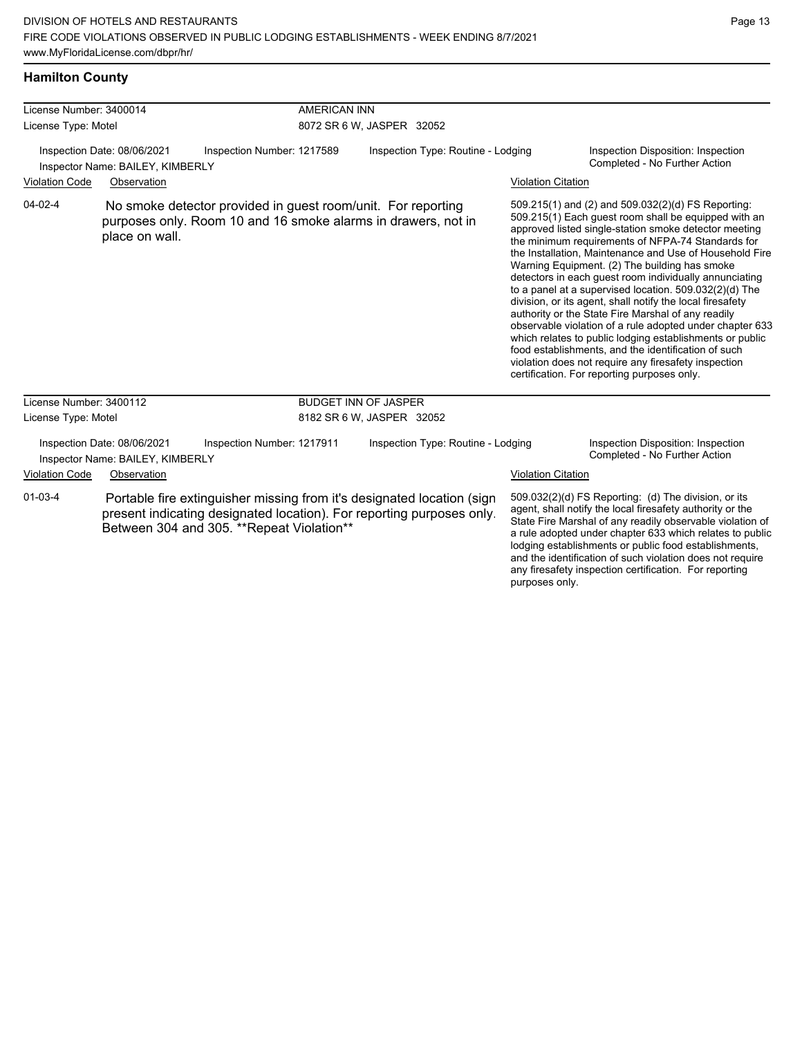#### **Hamilton County**

| License Number: 3400014                                                                       |                                                                 |                                                                                                                               | <b>AMERICAN INN</b>       |                                                                                                                                                 |                           |                                                                                                                                                                                                                                                                                                                                                                                                                                                                                                                                                                                                                                                                                                                                                                                                                                                                   |  |
|-----------------------------------------------------------------------------------------------|-----------------------------------------------------------------|-------------------------------------------------------------------------------------------------------------------------------|---------------------------|-------------------------------------------------------------------------------------------------------------------------------------------------|---------------------------|-------------------------------------------------------------------------------------------------------------------------------------------------------------------------------------------------------------------------------------------------------------------------------------------------------------------------------------------------------------------------------------------------------------------------------------------------------------------------------------------------------------------------------------------------------------------------------------------------------------------------------------------------------------------------------------------------------------------------------------------------------------------------------------------------------------------------------------------------------------------|--|
| License Type: Motel                                                                           |                                                                 |                                                                                                                               | 8072 SR 6 W, JASPER 32052 |                                                                                                                                                 |                           |                                                                                                                                                                                                                                                                                                                                                                                                                                                                                                                                                                                                                                                                                                                                                                                                                                                                   |  |
| Inspection Date: 08/06/2021<br>Inspection Number: 1217589<br>Inspector Name: BAILEY, KIMBERLY |                                                                 |                                                                                                                               |                           | Inspection Type: Routine - Lodging                                                                                                              |                           | Inspection Disposition: Inspection<br>Completed - No Further Action                                                                                                                                                                                                                                                                                                                                                                                                                                                                                                                                                                                                                                                                                                                                                                                               |  |
| <b>Violation Code</b>                                                                         | Observation                                                     |                                                                                                                               |                           |                                                                                                                                                 | <b>Violation Citation</b> |                                                                                                                                                                                                                                                                                                                                                                                                                                                                                                                                                                                                                                                                                                                                                                                                                                                                   |  |
| $04 - 02 - 4$                                                                                 | place on wall.                                                  | No smoke detector provided in guest room/unit. For reporting<br>purposes only. Room 10 and 16 smoke alarms in drawers, not in |                           |                                                                                                                                                 |                           | 509.215(1) and (2) and 509.032(2)(d) FS Reporting:<br>509.215(1) Each guest room shall be equipped with an<br>approved listed single-station smoke detector meeting<br>the minimum requirements of NFPA-74 Standards for<br>the Installation, Maintenance and Use of Household Fire<br>Warning Equipment. (2) The building has smoke<br>detectors in each guest room individually annunciating<br>to a panel at a supervised location. 509.032(2)(d) The<br>division, or its agent, shall notify the local firesafety<br>authority or the State Fire Marshal of any readily<br>observable violation of a rule adopted under chapter 633<br>which relates to public lodging establishments or public<br>food establishments, and the identification of such<br>violation does not require any firesafety inspection<br>certification. For reporting purposes only. |  |
| License Number: 3400112                                                                       |                                                                 |                                                                                                                               |                           | <b>BUDGET INN OF JASPER</b>                                                                                                                     |                           |                                                                                                                                                                                                                                                                                                                                                                                                                                                                                                                                                                                                                                                                                                                                                                                                                                                                   |  |
| License Type: Motel                                                                           |                                                                 |                                                                                                                               |                           | 8182 SR 6 W, JASPER 32052                                                                                                                       |                           |                                                                                                                                                                                                                                                                                                                                                                                                                                                                                                                                                                                                                                                                                                                                                                                                                                                                   |  |
|                                                                                               | Inspection Date: 08/06/2021<br>Inspector Name: BAILEY, KIMBERLY | Inspection Number: 1217911                                                                                                    |                           | Inspection Type: Routine - Lodging                                                                                                              |                           | Inspection Disposition: Inspection<br>Completed - No Further Action                                                                                                                                                                                                                                                                                                                                                                                                                                                                                                                                                                                                                                                                                                                                                                                               |  |
| <b>Violation Code</b>                                                                         | Observation                                                     |                                                                                                                               |                           |                                                                                                                                                 | <b>Violation Citation</b> |                                                                                                                                                                                                                                                                                                                                                                                                                                                                                                                                                                                                                                                                                                                                                                                                                                                                   |  |
| $01 - 03 - 4$                                                                                 |                                                                 | Between 304 and 305. **Repeat Violation**                                                                                     |                           | Portable fire extinguisher missing from it's designated location (sign<br>present indicating designated location). For reporting purposes only. | purposes only.            | 509.032(2)(d) FS Reporting: (d) The division, or its<br>agent, shall notify the local firesafety authority or the<br>State Fire Marshal of any readily observable violation of<br>a rule adopted under chapter 633 which relates to public<br>lodging establishments or public food establishments,<br>and the identification of such violation does not require<br>any firesafety inspection certification. For reporting                                                                                                                                                                                                                                                                                                                                                                                                                                        |  |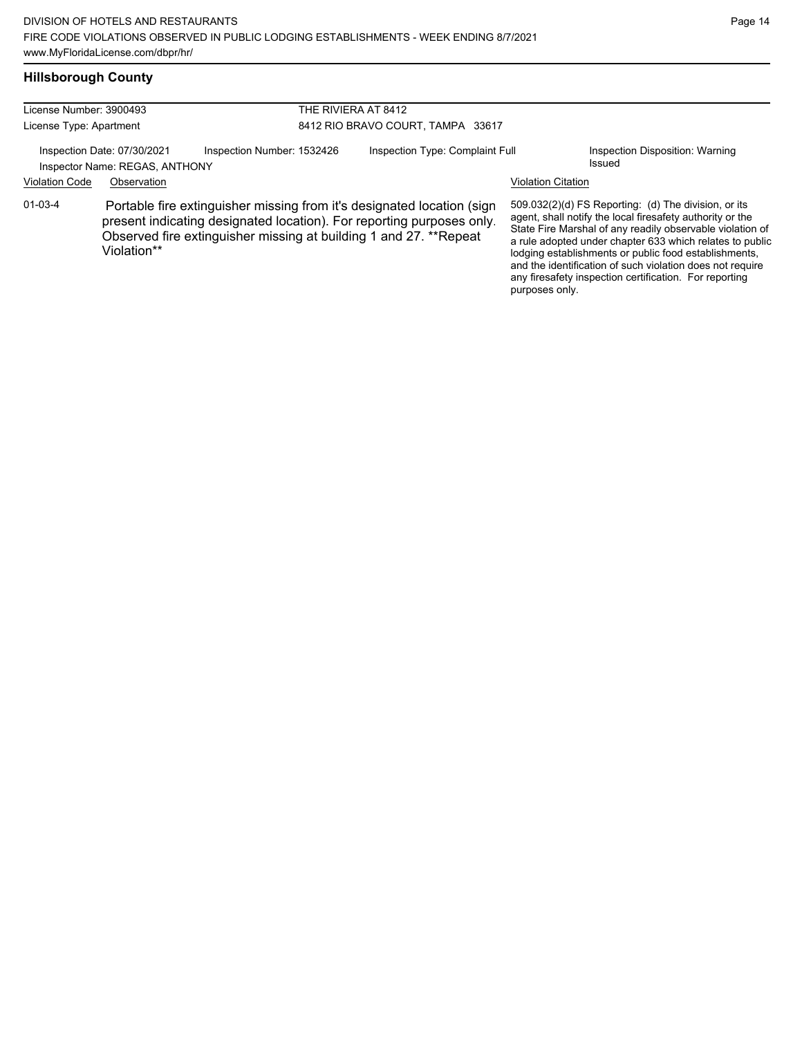## **Hillsborough County**

| License Number: 3900493                                       |                                                                                                                                                                                                                                     |                            | THE RIVIERA AT 8412                                                                                                                                                                                                                                                                                                                                                                                                                          |                           |                                           |  |  |
|---------------------------------------------------------------|-------------------------------------------------------------------------------------------------------------------------------------------------------------------------------------------------------------------------------------|----------------------------|----------------------------------------------------------------------------------------------------------------------------------------------------------------------------------------------------------------------------------------------------------------------------------------------------------------------------------------------------------------------------------------------------------------------------------------------|---------------------------|-------------------------------------------|--|--|
| License Type: Apartment                                       |                                                                                                                                                                                                                                     |                            | 8412 RIO BRAVO COURT, TAMPA 33617                                                                                                                                                                                                                                                                                                                                                                                                            |                           |                                           |  |  |
| Inspection Date: 07/30/2021<br>Inspector Name: REGAS, ANTHONY |                                                                                                                                                                                                                                     | Inspection Number: 1532426 | Inspection Type: Complaint Full                                                                                                                                                                                                                                                                                                                                                                                                              |                           | Inspection Disposition: Warning<br>Issued |  |  |
| <b>Violation Code</b>                                         | Observation                                                                                                                                                                                                                         |                            |                                                                                                                                                                                                                                                                                                                                                                                                                                              | <b>Violation Citation</b> |                                           |  |  |
| $01 - 03 - 4$                                                 | Portable fire extinguisher missing from it's designated location (sign<br>present indicating designated location). For reporting purposes only.<br>Observed fire extinguisher missing at building 1 and 27. **Repeat<br>Violation** |                            | 509.032(2)(d) FS Reporting: (d) The division, or its<br>agent, shall notify the local firesafety authority or the<br>State Fire Marshal of any readily observable violation of<br>a rule adopted under chapter 633 which relates to public<br>lodging establishments or public food establishments,<br>and the identification of such violation does not require<br>any firesafety inspection certification. For reporting<br>purposes only. |                           |                                           |  |  |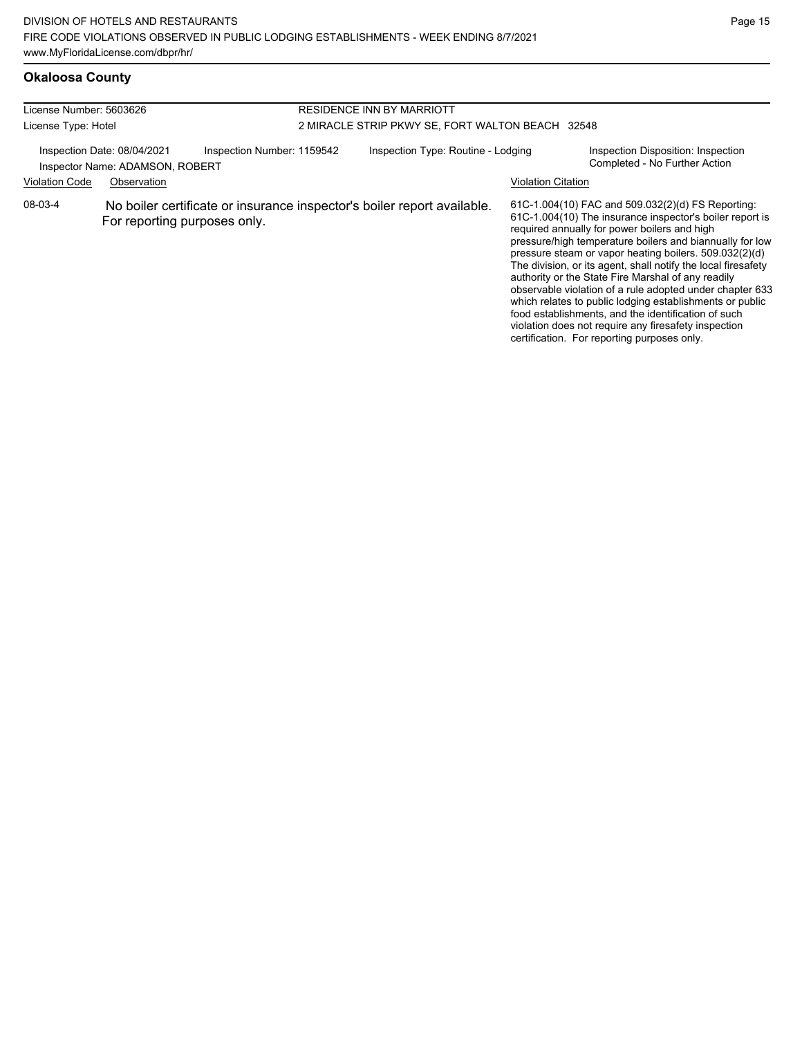| License Number: 5603626 |                                                                                              |                                                                         | RESIDENCE INN BY MARRIOTT                        |                    |                                                                                                                                                                                                                                                                                                                                                                                                                                                                                                                                                                                                                                                                                                  |  |  |
|-------------------------|----------------------------------------------------------------------------------------------|-------------------------------------------------------------------------|--------------------------------------------------|--------------------|--------------------------------------------------------------------------------------------------------------------------------------------------------------------------------------------------------------------------------------------------------------------------------------------------------------------------------------------------------------------------------------------------------------------------------------------------------------------------------------------------------------------------------------------------------------------------------------------------------------------------------------------------------------------------------------------------|--|--|
| License Type: Hotel     |                                                                                              |                                                                         | 2 MIRACLE STRIP PKWY SE, FORT WALTON BEACH 32548 |                    |                                                                                                                                                                                                                                                                                                                                                                                                                                                                                                                                                                                                                                                                                                  |  |  |
|                         | Inspection Date: 08/04/2021<br>Inspection Number: 1159542<br>Inspector Name: ADAMSON, ROBERT |                                                                         | Inspection Type: Routine - Lodging               |                    | Inspection Disposition: Inspection<br>Completed - No Further Action                                                                                                                                                                                                                                                                                                                                                                                                                                                                                                                                                                                                                              |  |  |
| <b>Violation Code</b>   | Observation                                                                                  |                                                                         |                                                  | Violation Citation |                                                                                                                                                                                                                                                                                                                                                                                                                                                                                                                                                                                                                                                                                                  |  |  |
| 08-03-4                 | For reporting purposes only.                                                                 | No boiler certificate or insurance inspector's boiler report available. |                                                  |                    | 61C-1.004(10) FAC and 509.032(2)(d) FS Reporting:<br>61C-1.004(10) The insurance inspector's boiler report is<br>required annually for power boilers and high<br>pressure/high temperature boilers and biannually for low<br>pressure steam or vapor heating boilers. 509.032(2)(d)<br>The division, or its agent, shall notify the local firesafety<br>authority or the State Fire Marshal of any readily<br>observable violation of a rule adopted under chapter 633<br>which relates to public lodging establishments or public<br>food establishments, and the identification of such<br>violation does not require any firesafety inspection<br>certification. For reporting purposes only. |  |  |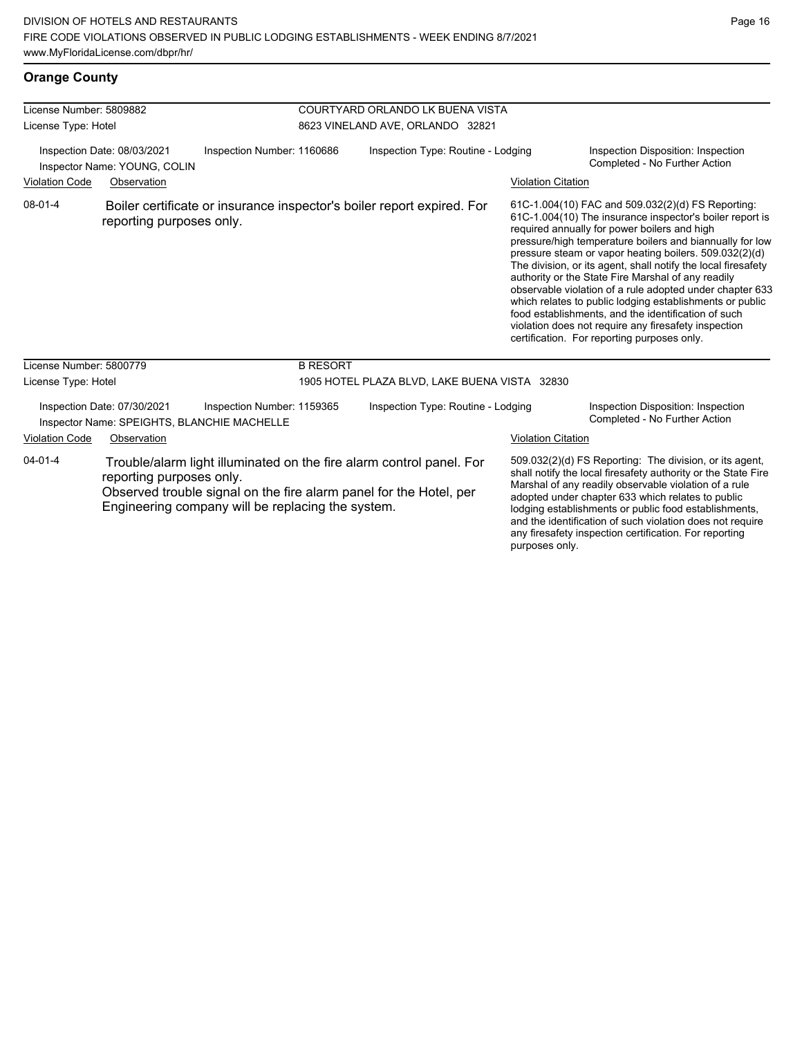#### **Orange County**

| License Number: 5809882<br>License Type: Hotel                                                                                                                       |                                                                            |                                                                        | COURTYARD ORLANDO LK BUENA VISTA<br>8623 VINELAND AVE, ORLANDO 32821 |                           |                                                                                                                                                                                                                                                                                                                                                                                                                                                                                                                                                                                                                                                                                                  |  |
|----------------------------------------------------------------------------------------------------------------------------------------------------------------------|----------------------------------------------------------------------------|------------------------------------------------------------------------|----------------------------------------------------------------------|---------------------------|--------------------------------------------------------------------------------------------------------------------------------------------------------------------------------------------------------------------------------------------------------------------------------------------------------------------------------------------------------------------------------------------------------------------------------------------------------------------------------------------------------------------------------------------------------------------------------------------------------------------------------------------------------------------------------------------------|--|
| Inspection Date: 08/03/2021<br>Inspector Name: YOUNG, COLIN                                                                                                          |                                                                            | Inspection Number: 1160686                                             | Inspection Type: Routine - Lodging                                   |                           | Inspection Disposition: Inspection<br>Completed - No Further Action                                                                                                                                                                                                                                                                                                                                                                                                                                                                                                                                                                                                                              |  |
| <b>Violation Code</b>                                                                                                                                                | Observation                                                                |                                                                        |                                                                      | <b>Violation Citation</b> |                                                                                                                                                                                                                                                                                                                                                                                                                                                                                                                                                                                                                                                                                                  |  |
| 08-01-4                                                                                                                                                              | reporting purposes only.                                                   | Boiler certificate or insurance inspector's boiler report expired. For |                                                                      |                           | 61C-1.004(10) FAC and 509.032(2)(d) FS Reporting:<br>61C-1.004(10) The insurance inspector's boiler report is<br>required annually for power boilers and high<br>pressure/high temperature boilers and biannually for low<br>pressure steam or vapor heating boilers. 509.032(2)(d)<br>The division, or its agent, shall notify the local firesafety<br>authority or the State Fire Marshal of any readily<br>observable violation of a rule adopted under chapter 633<br>which relates to public lodging establishments or public<br>food establishments, and the identification of such<br>violation does not require any firesafety inspection<br>certification. For reporting purposes only. |  |
| License Number: 5800779                                                                                                                                              |                                                                            | <b>B RESORT</b>                                                        |                                                                      |                           |                                                                                                                                                                                                                                                                                                                                                                                                                                                                                                                                                                                                                                                                                                  |  |
| License Type: Hotel                                                                                                                                                  |                                                                            |                                                                        | 1905 HOTEL PLAZA BLVD, LAKE BUENA VISTA 32830                        |                           |                                                                                                                                                                                                                                                                                                                                                                                                                                                                                                                                                                                                                                                                                                  |  |
|                                                                                                                                                                      | Inspection Date: 07/30/2021<br>Inspector Name: SPEIGHTS, BLANCHIE MACHELLE | Inspection Number: 1159365                                             | Inspection Type: Routine - Lodging                                   |                           | Inspection Disposition: Inspection<br>Completed - No Further Action                                                                                                                                                                                                                                                                                                                                                                                                                                                                                                                                                                                                                              |  |
| <b>Violation Code</b>                                                                                                                                                | Observation                                                                |                                                                        |                                                                      | <b>Violation Citation</b> |                                                                                                                                                                                                                                                                                                                                                                                                                                                                                                                                                                                                                                                                                                  |  |
| $04 - 01 - 4$<br>reporting purposes only.<br>Observed trouble signal on the fire alarm panel for the Hotel, per<br>Engineering company will be replacing the system. |                                                                            |                                                                        | Trouble/alarm light illuminated on the fire alarm control panel. For |                           | 509.032(2)(d) FS Reporting: The division, or its agent,<br>shall notify the local firesafety authority or the State Fire<br>Marshal of any readily observable violation of a rule<br>adopted under chapter 633 which relates to public<br>lodging establishments or public food establishments,<br>and the identification of such violation does not require<br>any firesafety inspection certification. For reporting                                                                                                                                                                                                                                                                           |  |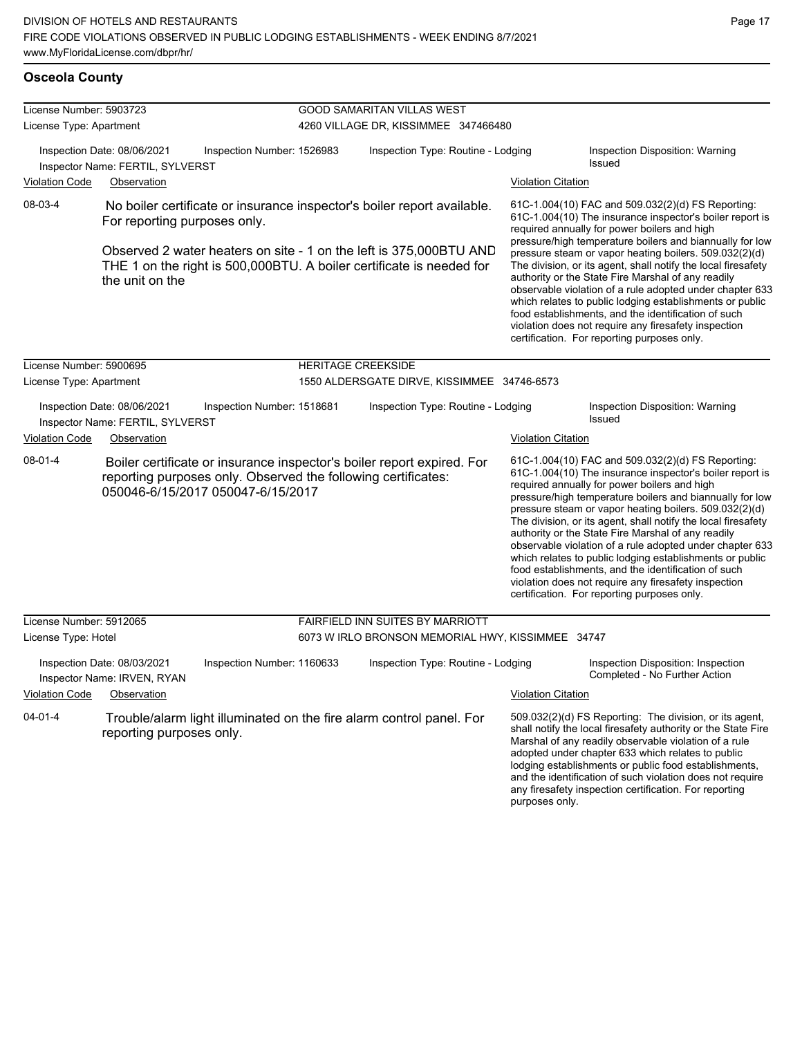| License Number: 5903723                                                                                           |                                                                 |                                                                                                                                            | <b>GOOD SAMARITAN VILLAS WEST</b>                                                                                                                                                                                                                                                                                                                                                                                                                                                                                               |                                                                            |                                                                                                                                                               |                                                                                                                                                                                                                                                                                                                                                                                                                                                                                                                                                                                                                                                                                                  |  |
|-------------------------------------------------------------------------------------------------------------------|-----------------------------------------------------------------|--------------------------------------------------------------------------------------------------------------------------------------------|---------------------------------------------------------------------------------------------------------------------------------------------------------------------------------------------------------------------------------------------------------------------------------------------------------------------------------------------------------------------------------------------------------------------------------------------------------------------------------------------------------------------------------|----------------------------------------------------------------------------|---------------------------------------------------------------------------------------------------------------------------------------------------------------|--------------------------------------------------------------------------------------------------------------------------------------------------------------------------------------------------------------------------------------------------------------------------------------------------------------------------------------------------------------------------------------------------------------------------------------------------------------------------------------------------------------------------------------------------------------------------------------------------------------------------------------------------------------------------------------------------|--|
| License Type: Apartment                                                                                           | Inspection Date: 08/06/2021                                     | Inspection Number: 1526983                                                                                                                 |                                                                                                                                                                                                                                                                                                                                                                                                                                                                                                                                 | 4260 VILLAGE DR, KISSIMMEE 347466480<br>Inspection Type: Routine - Lodging |                                                                                                                                                               | <b>Inspection Disposition: Warning</b>                                                                                                                                                                                                                                                                                                                                                                                                                                                                                                                                                                                                                                                           |  |
| Inspector Name: FERTIL, SYLVERST<br><b>Violation Code</b><br>Observation                                          |                                                                 |                                                                                                                                            |                                                                                                                                                                                                                                                                                                                                                                                                                                                                                                                                 |                                                                            | <b>Violation Citation</b>                                                                                                                                     | <b>Issued</b>                                                                                                                                                                                                                                                                                                                                                                                                                                                                                                                                                                                                                                                                                    |  |
| 08-03-4                                                                                                           | For reporting purposes only.                                    |                                                                                                                                            |                                                                                                                                                                                                                                                                                                                                                                                                                                                                                                                                 | No boiler certificate or insurance inspector's boiler report available.    | 61C-1.004(10) FAC and 509.032(2)(d) FS Reporting:<br>61C-1.004(10) The insurance inspector's boiler report is<br>required annually for power boilers and high |                                                                                                                                                                                                                                                                                                                                                                                                                                                                                                                                                                                                                                                                                                  |  |
|                                                                                                                   | the unit on the                                                 | Observed 2 water heaters on site - 1 on the left is 375,000BTU AND<br>THE 1 on the right is 500,000BTU. A boiler certificate is needed for | pressure/high temperature boilers and biannually for low<br>pressure steam or vapor heating boilers. 509.032(2)(d)<br>The division, or its agent, shall notify the local firesafety<br>authority or the State Fire Marshal of any readily<br>observable violation of a rule adopted under chapter 633<br>which relates to public lodging establishments or public<br>food establishments, and the identification of such<br>violation does not require any firesafety inspection<br>certification. For reporting purposes only. |                                                                            |                                                                                                                                                               |                                                                                                                                                                                                                                                                                                                                                                                                                                                                                                                                                                                                                                                                                                  |  |
| License Number: 5900695                                                                                           |                                                                 |                                                                                                                                            |                                                                                                                                                                                                                                                                                                                                                                                                                                                                                                                                 | <b>HERITAGE CREEKSIDE</b>                                                  |                                                                                                                                                               |                                                                                                                                                                                                                                                                                                                                                                                                                                                                                                                                                                                                                                                                                                  |  |
| License Type: Apartment                                                                                           |                                                                 |                                                                                                                                            |                                                                                                                                                                                                                                                                                                                                                                                                                                                                                                                                 | 1550 ALDERSGATE DIRVE, KISSIMMEE 34746-6573                                |                                                                                                                                                               |                                                                                                                                                                                                                                                                                                                                                                                                                                                                                                                                                                                                                                                                                                  |  |
|                                                                                                                   | Inspection Date: 08/06/2021<br>Inspector Name: FERTIL, SYLVERST | Inspection Number: 1518681                                                                                                                 |                                                                                                                                                                                                                                                                                                                                                                                                                                                                                                                                 | Inspection Type: Routine - Lodging                                         |                                                                                                                                                               | <b>Inspection Disposition: Warning</b><br>Issued                                                                                                                                                                                                                                                                                                                                                                                                                                                                                                                                                                                                                                                 |  |
| <b>Violation Code</b>                                                                                             | Observation                                                     |                                                                                                                                            |                                                                                                                                                                                                                                                                                                                                                                                                                                                                                                                                 |                                                                            | <b>Violation Citation</b>                                                                                                                                     |                                                                                                                                                                                                                                                                                                                                                                                                                                                                                                                                                                                                                                                                                                  |  |
| $08 - 01 - 4$                                                                                                     |                                                                 | reporting purposes only. Observed the following certificates:<br>050046-6/15/2017 050047-6/15/2017                                         |                                                                                                                                                                                                                                                                                                                                                                                                                                                                                                                                 | Boiler certificate or insurance inspector's boiler report expired. For     |                                                                                                                                                               | 61C-1.004(10) FAC and 509.032(2)(d) FS Reporting:<br>61C-1.004(10) The insurance inspector's boiler report is<br>required annually for power boilers and high<br>pressure/high temperature boilers and biannually for low<br>pressure steam or vapor heating boilers. 509.032(2)(d)<br>The division, or its agent, shall notify the local firesafety<br>authority or the State Fire Marshal of any readily<br>observable violation of a rule adopted under chapter 633<br>which relates to public lodging establishments or public<br>food establishments, and the identification of such<br>violation does not require any firesafety inspection<br>certification. For reporting purposes only. |  |
| License Number: 5912065                                                                                           |                                                                 |                                                                                                                                            |                                                                                                                                                                                                                                                                                                                                                                                                                                                                                                                                 | FAIRFIELD INN SUITES BY MARRIOTT                                           |                                                                                                                                                               |                                                                                                                                                                                                                                                                                                                                                                                                                                                                                                                                                                                                                                                                                                  |  |
| License Type: Hotel                                                                                               |                                                                 |                                                                                                                                            |                                                                                                                                                                                                                                                                                                                                                                                                                                                                                                                                 | 6073 W IRLO BRONSON MEMORIAL HWY, KISSIMMEE 34747                          |                                                                                                                                                               |                                                                                                                                                                                                                                                                                                                                                                                                                                                                                                                                                                                                                                                                                                  |  |
|                                                                                                                   | Inspection Date: 08/03/2021<br>Inspector Name: IRVEN, RYAN      | Inspection Number: 1160633                                                                                                                 |                                                                                                                                                                                                                                                                                                                                                                                                                                                                                                                                 | Inspection Type: Routine - Lodging                                         |                                                                                                                                                               | Inspection Disposition: Inspection<br>Completed - No Further Action                                                                                                                                                                                                                                                                                                                                                                                                                                                                                                                                                                                                                              |  |
| <b>Violation Code</b>                                                                                             | Observation                                                     |                                                                                                                                            |                                                                                                                                                                                                                                                                                                                                                                                                                                                                                                                                 |                                                                            | <b>Violation Citation</b>                                                                                                                                     |                                                                                                                                                                                                                                                                                                                                                                                                                                                                                                                                                                                                                                                                                                  |  |
| $04 - 01 - 4$<br>Trouble/alarm light illuminated on the fire alarm control panel. For<br>reporting purposes only. |                                                                 |                                                                                                                                            |                                                                                                                                                                                                                                                                                                                                                                                                                                                                                                                                 |                                                                            |                                                                                                                                                               | 509.032(2)(d) FS Reporting: The division, or its agent,<br>shall notify the local firesafety authority or the State Fire<br>Marshal of any readily observable violation of a rule<br>adopted under chapter 633 which relates to public<br>lodging establishments or public food establishments,                                                                                                                                                                                                                                                                                                                                                                                                  |  |

and the identification of such violation does not require any firesafety inspection certification. For reporting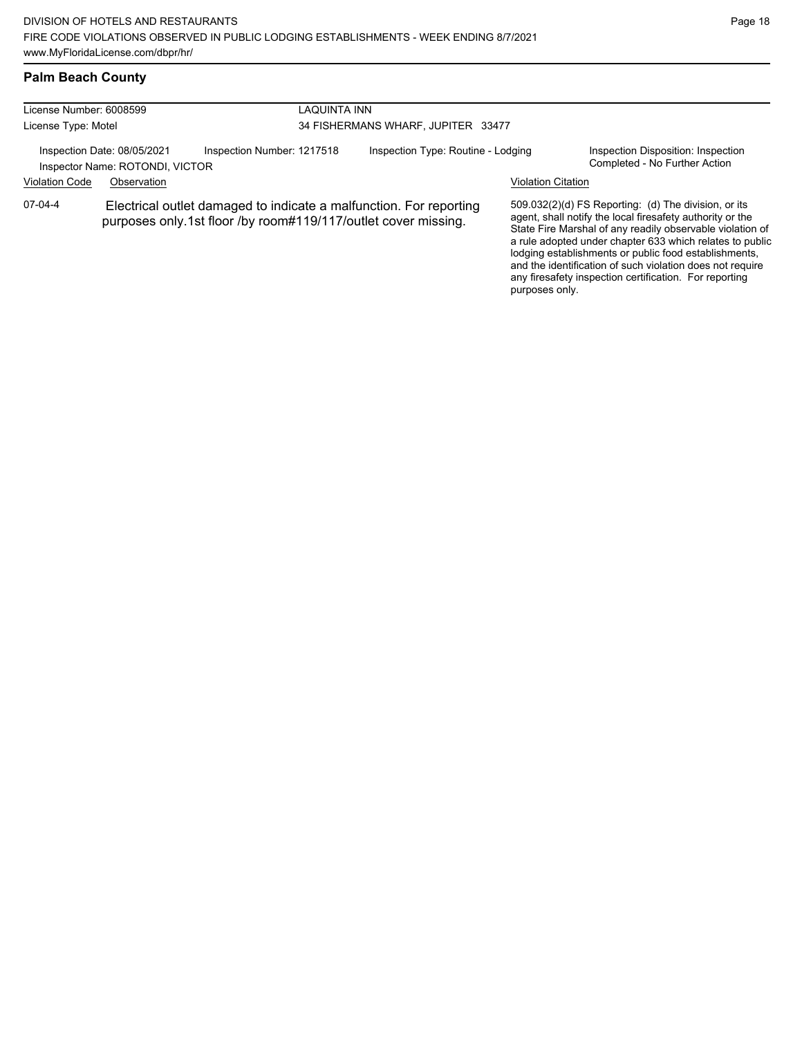#### **Palm Beach County**

| License Number: 6008599<br>License Type: Motel                 |                                                                                                                                      |                            | LAQUINTA INN<br>34 FISHERMANS WHARF, JUPITER 33477 |                           |                                                                                                                                                                                                                                                                                                                                                                                                                            |  |  |
|----------------------------------------------------------------|--------------------------------------------------------------------------------------------------------------------------------------|----------------------------|----------------------------------------------------|---------------------------|----------------------------------------------------------------------------------------------------------------------------------------------------------------------------------------------------------------------------------------------------------------------------------------------------------------------------------------------------------------------------------------------------------------------------|--|--|
| Inspection Date: 08/05/2021<br>Inspector Name: ROTONDI, VICTOR |                                                                                                                                      | Inspection Number: 1217518 | Inspection Type: Routine - Lodging                 |                           | Inspection Disposition: Inspection<br>Completed - No Further Action                                                                                                                                                                                                                                                                                                                                                        |  |  |
| <b>Violation Code</b>                                          | Observation                                                                                                                          |                            |                                                    | <b>Violation Citation</b> |                                                                                                                                                                                                                                                                                                                                                                                                                            |  |  |
| 07-04-4                                                        | Electrical outlet damaged to indicate a malfunction. For reporting<br>purposes only.1st floor /by room#119/117/outlet cover missing. |                            |                                                    | purposes only.            | 509.032(2)(d) FS Reporting: (d) The division, or its<br>agent, shall notify the local firesafety authority or the<br>State Fire Marshal of any readily observable violation of<br>a rule adopted under chapter 633 which relates to public<br>lodging establishments or public food establishments,<br>and the identification of such violation does not require<br>any firesafety inspection certification. For reporting |  |  |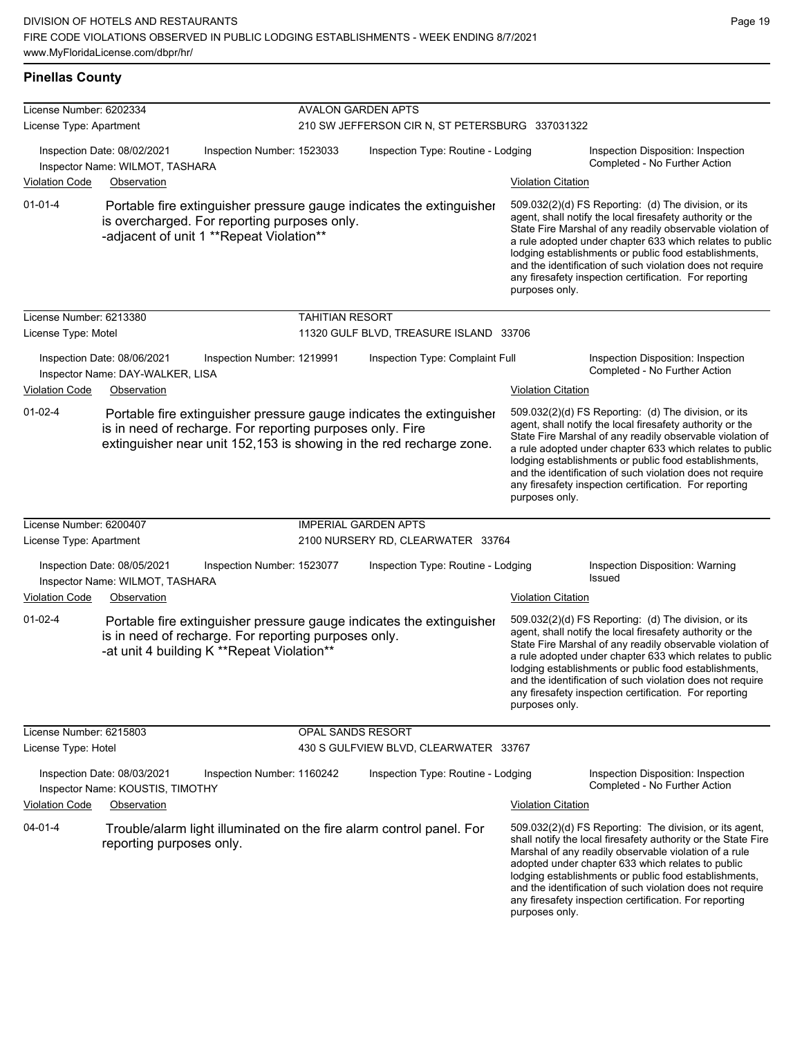#### **Pinellas County**

| License Number: 6202334 |                                                                 |                                                                                                    |                                                                              |                                                                                                                                             |                           |                                                                                                                                                                                                                                                                                                                                                                                                                            |  |  |
|-------------------------|-----------------------------------------------------------------|----------------------------------------------------------------------------------------------------|------------------------------------------------------------------------------|---------------------------------------------------------------------------------------------------------------------------------------------|---------------------------|----------------------------------------------------------------------------------------------------------------------------------------------------------------------------------------------------------------------------------------------------------------------------------------------------------------------------------------------------------------------------------------------------------------------------|--|--|
| License Type: Apartment |                                                                 |                                                                                                    | <b>AVALON GARDEN APTS</b><br>210 SW JEFFERSON CIR N, ST PETERSBURG 337031322 |                                                                                                                                             |                           |                                                                                                                                                                                                                                                                                                                                                                                                                            |  |  |
|                         |                                                                 |                                                                                                    |                                                                              |                                                                                                                                             |                           |                                                                                                                                                                                                                                                                                                                                                                                                                            |  |  |
|                         | Inspection Date: 08/02/2021<br>Inspector Name: WILMOT, TASHARA  | Inspection Number: 1523033                                                                         |                                                                              | Inspection Type: Routine - Lodging                                                                                                          |                           | Inspection Disposition: Inspection<br>Completed - No Further Action                                                                                                                                                                                                                                                                                                                                                        |  |  |
| <b>Violation Code</b>   | Observation                                                     |                                                                                                    |                                                                              |                                                                                                                                             | <b>Violation Citation</b> |                                                                                                                                                                                                                                                                                                                                                                                                                            |  |  |
| $01 - 01 - 4$           |                                                                 | is overcharged. For reporting purposes only.<br>-adjacent of unit 1 **Repeat Violation**           |                                                                              | Portable fire extinguisher pressure gauge indicates the extinguisher                                                                        | purposes only.            | 509.032(2)(d) FS Reporting: (d) The division, or its<br>agent, shall notify the local firesafety authority or the<br>State Fire Marshal of any readily observable violation of<br>a rule adopted under chapter 633 which relates to public<br>lodging establishments or public food establishments,<br>and the identification of such violation does not require<br>any firesafety inspection certification. For reporting |  |  |
| License Number: 6213380 |                                                                 |                                                                                                    | <b>TAHITIAN RESORT</b>                                                       |                                                                                                                                             |                           |                                                                                                                                                                                                                                                                                                                                                                                                                            |  |  |
| License Type: Motel     |                                                                 |                                                                                                    |                                                                              | 11320 GULF BLVD, TREASURE ISLAND 33706                                                                                                      |                           |                                                                                                                                                                                                                                                                                                                                                                                                                            |  |  |
|                         | Inspection Date: 08/06/2021<br>Inspector Name: DAY-WALKER, LISA | Inspection Number: 1219991                                                                         |                                                                              | Inspection Type: Complaint Full                                                                                                             |                           | Inspection Disposition: Inspection<br>Completed - No Further Action                                                                                                                                                                                                                                                                                                                                                        |  |  |
| Violation Code          | Observation                                                     |                                                                                                    |                                                                              |                                                                                                                                             | <b>Violation Citation</b> |                                                                                                                                                                                                                                                                                                                                                                                                                            |  |  |
| $01 - 02 - 4$           |                                                                 | is in need of recharge. For reporting purposes only. Fire                                          |                                                                              | Portable fire extinguisher pressure gauge indicates the extinguisher<br>extinguisher near unit 152,153 is showing in the red recharge zone. | purposes only.            | 509.032(2)(d) FS Reporting: (d) The division, or its<br>agent, shall notify the local firesafety authority or the<br>State Fire Marshal of any readily observable violation of<br>a rule adopted under chapter 633 which relates to public<br>lodging establishments or public food establishments,<br>and the identification of such violation does not require<br>any firesafety inspection certification. For reporting |  |  |
| License Number: 6200407 |                                                                 |                                                                                                    |                                                                              | <b>IMPERIAL GARDEN APTS</b>                                                                                                                 |                           |                                                                                                                                                                                                                                                                                                                                                                                                                            |  |  |
| License Type: Apartment |                                                                 |                                                                                                    |                                                                              | 2100 NURSERY RD, CLEARWATER 33764                                                                                                           |                           |                                                                                                                                                                                                                                                                                                                                                                                                                            |  |  |
|                         | Inspection Date: 08/05/2021<br>Inspector Name: WILMOT, TASHARA  | Inspection Number: 1523077                                                                         |                                                                              | Inspection Type: Routine - Lodging                                                                                                          |                           | Inspection Disposition: Warning<br>Issued                                                                                                                                                                                                                                                                                                                                                                                  |  |  |
| Violation Code          | Observation                                                     |                                                                                                    |                                                                              |                                                                                                                                             | <b>Violation Citation</b> |                                                                                                                                                                                                                                                                                                                                                                                                                            |  |  |
| $01 - 02 - 4$           |                                                                 | is in need of recharge. For reporting purposes only.<br>-at unit 4 building K **Repeat Violation** |                                                                              | Portable fire extinguisher pressure gauge indicates the extinguisher                                                                        | purposes only.            | 509.032(2)(d) FS Reporting: (d) The division, or its<br>agent, shall notify the local firesafety authority or the<br>State Fire Marshal of any readily observable violation of<br>a rule adopted under chapter 633 which relates to public<br>lodging establishments or public food establishments,<br>and the identification of such violation does not require<br>any firesafety inspection certification. For reporting |  |  |
| License Number: 6215803 |                                                                 |                                                                                                    | OPAL SANDS RESORT                                                            |                                                                                                                                             |                           |                                                                                                                                                                                                                                                                                                                                                                                                                            |  |  |
| License Type: Hotel     |                                                                 |                                                                                                    |                                                                              | 430 S GULFVIEW BLVD, CLEARWATER 33767                                                                                                       |                           |                                                                                                                                                                                                                                                                                                                                                                                                                            |  |  |
|                         | Inspection Date: 08/03/2021<br>Inspector Name: KOUSTIS, TIMOTHY | Inspection Number: 1160242                                                                         |                                                                              | Inspection Type: Routine - Lodging                                                                                                          |                           | Inspection Disposition: Inspection<br>Completed - No Further Action                                                                                                                                                                                                                                                                                                                                                        |  |  |
| <b>Violation Code</b>   | Observation                                                     |                                                                                                    |                                                                              |                                                                                                                                             | <b>Violation Citation</b> |                                                                                                                                                                                                                                                                                                                                                                                                                            |  |  |
| 04-01-4                 | reporting purposes only.                                        |                                                                                                    |                                                                              | Trouble/alarm light illuminated on the fire alarm control panel. For                                                                        | purposes only.            | 509.032(2)(d) FS Reporting: The division, or its agent,<br>shall notify the local firesafety authority or the State Fire<br>Marshal of any readily observable violation of a rule<br>adopted under chapter 633 which relates to public<br>lodging establishments or public food establishments,<br>and the identification of such violation does not require<br>any firesafety inspection certification. For reporting     |  |  |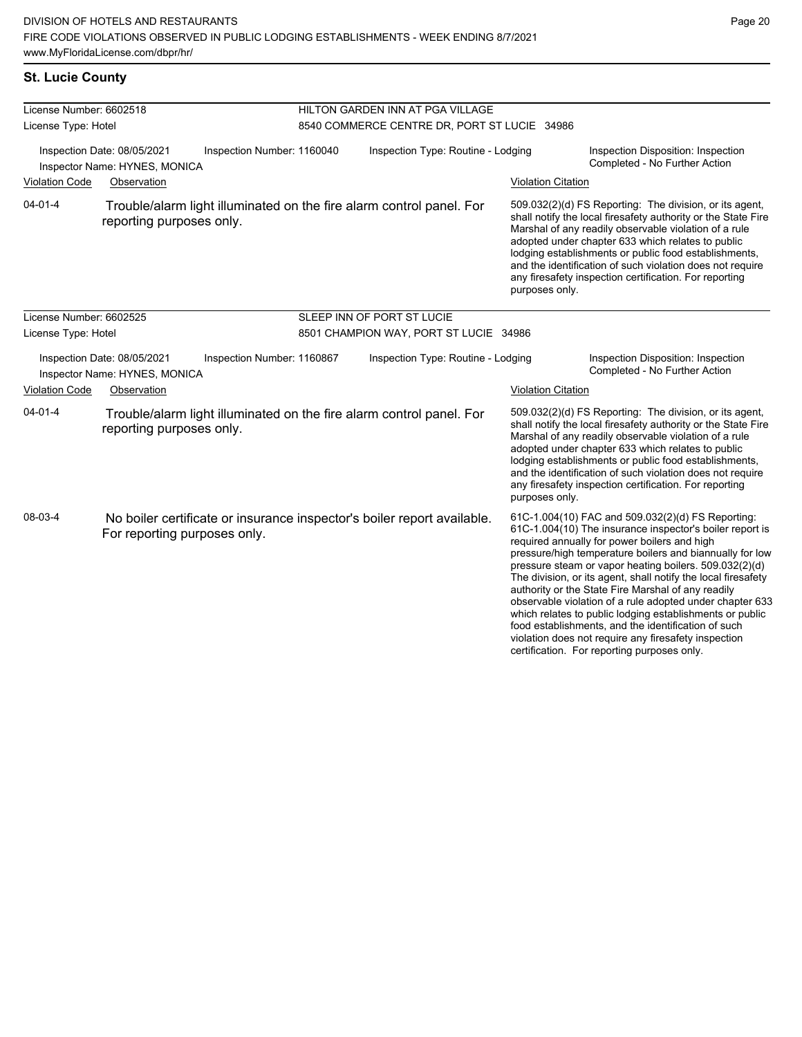## **St. Lucie County**

| License Number: 6602518 |                                                                                                         |                            | HILTON GARDEN INN AT PGA VILLAGE             |                           |                                                                                                                                                                                                                                                                                                                                                                                                                                                                                                                                                                                                                                                                                                  |  |  |
|-------------------------|---------------------------------------------------------------------------------------------------------|----------------------------|----------------------------------------------|---------------------------|--------------------------------------------------------------------------------------------------------------------------------------------------------------------------------------------------------------------------------------------------------------------------------------------------------------------------------------------------------------------------------------------------------------------------------------------------------------------------------------------------------------------------------------------------------------------------------------------------------------------------------------------------------------------------------------------------|--|--|
| License Type: Hotel     |                                                                                                         |                            | 8540 COMMERCE CENTRE DR, PORT ST LUCIE 34986 |                           |                                                                                                                                                                                                                                                                                                                                                                                                                                                                                                                                                                                                                                                                                                  |  |  |
|                         | Inspection Date: 08/05/2021<br>Inspector Name: HYNES, MONICA                                            | Inspection Number: 1160040 | Inspection Type: Routine - Lodging           |                           | Inspection Disposition: Inspection<br>Completed - No Further Action                                                                                                                                                                                                                                                                                                                                                                                                                                                                                                                                                                                                                              |  |  |
| <b>Violation Code</b>   | Observation                                                                                             |                            |                                              | <b>Violation Citation</b> |                                                                                                                                                                                                                                                                                                                                                                                                                                                                                                                                                                                                                                                                                                  |  |  |
| $04 - 01 - 4$           | Trouble/alarm light illuminated on the fire alarm control panel. For<br>reporting purposes only.        |                            |                                              | purposes only.            | 509.032(2)(d) FS Reporting: The division, or its agent,<br>shall notify the local firesafety authority or the State Fire<br>Marshal of any readily observable violation of a rule<br>adopted under chapter 633 which relates to public<br>lodging establishments or public food establishments,<br>and the identification of such violation does not require<br>any firesafety inspection certification. For reporting                                                                                                                                                                                                                                                                           |  |  |
| License Number: 6602525 |                                                                                                         |                            | SLEEP INN OF PORT ST LUCIE                   |                           |                                                                                                                                                                                                                                                                                                                                                                                                                                                                                                                                                                                                                                                                                                  |  |  |
| License Type: Hotel     |                                                                                                         |                            | 8501 CHAMPION WAY, PORT ST LUCIE 34986       |                           |                                                                                                                                                                                                                                                                                                                                                                                                                                                                                                                                                                                                                                                                                                  |  |  |
|                         | Inspection Date: 08/05/2021<br>Inspector Name: HYNES, MONICA                                            | Inspection Number: 1160867 | Inspection Type: Routine - Lodging           |                           | Inspection Disposition: Inspection<br>Completed - No Further Action                                                                                                                                                                                                                                                                                                                                                                                                                                                                                                                                                                                                                              |  |  |
| <b>Violation Code</b>   | Observation                                                                                             |                            |                                              | <b>Violation Citation</b> |                                                                                                                                                                                                                                                                                                                                                                                                                                                                                                                                                                                                                                                                                                  |  |  |
| $04 - 01 - 4$           | Trouble/alarm light illuminated on the fire alarm control panel. For<br>reporting purposes only.        |                            |                                              | purposes only.            | 509.032(2)(d) FS Reporting: The division, or its agent,<br>shall notify the local firesafety authority or the State Fire<br>Marshal of any readily observable violation of a rule<br>adopted under chapter 633 which relates to public<br>lodging establishments or public food establishments,<br>and the identification of such violation does not require<br>any firesafety inspection certification. For reporting                                                                                                                                                                                                                                                                           |  |  |
| 08-03-4                 | No boiler certificate or insurance inspector's boiler report available.<br>For reporting purposes only. |                            |                                              |                           | 61C-1.004(10) FAC and 509.032(2)(d) FS Reporting:<br>61C-1.004(10) The insurance inspector's boiler report is<br>required annually for power boilers and high<br>pressure/high temperature boilers and biannually for low<br>pressure steam or vapor heating boilers. 509.032(2)(d)<br>The division, or its agent, shall notify the local firesafety<br>authority or the State Fire Marshal of any readily<br>observable violation of a rule adopted under chapter 633<br>which relates to public lodging establishments or public<br>food establishments, and the identification of such<br>violation does not require any firesafety inspection<br>certification. For reporting purposes only. |  |  |